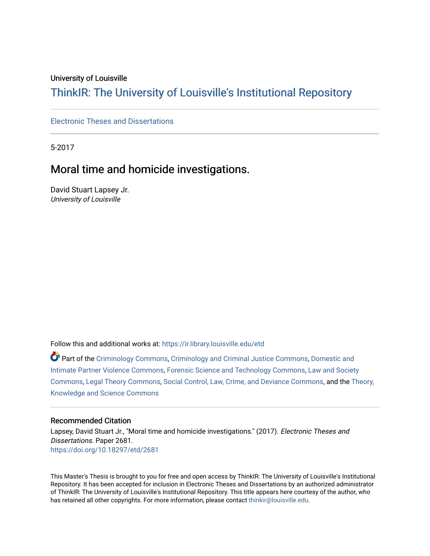### University of Louisville

# ThinkIR: The Univ[ersity of Louisville's Institutional Reposit](https://ir.library.louisville.edu/)ory

## [Electronic Theses and Dissertations](https://ir.library.louisville.edu/etd)

5-2017

# Moral time and homicide investigations.

David Stuart Lapsey Jr. University of Louisville

Follow this and additional works at: [https://ir.library.louisville.edu/etd](https://ir.library.louisville.edu/etd?utm_source=ir.library.louisville.edu%2Fetd%2F2681&utm_medium=PDF&utm_campaign=PDFCoverPages) 

Part of the [Criminology Commons](http://network.bepress.com/hgg/discipline/417?utm_source=ir.library.louisville.edu%2Fetd%2F2681&utm_medium=PDF&utm_campaign=PDFCoverPages), [Criminology and Criminal Justice Commons,](http://network.bepress.com/hgg/discipline/367?utm_source=ir.library.louisville.edu%2Fetd%2F2681&utm_medium=PDF&utm_campaign=PDFCoverPages) Domestic and [Intimate Partner Violence Commons](http://network.bepress.com/hgg/discipline/1309?utm_source=ir.library.louisville.edu%2Fetd%2F2681&utm_medium=PDF&utm_campaign=PDFCoverPages), [Forensic Science and Technology Commons,](http://network.bepress.com/hgg/discipline/1277?utm_source=ir.library.louisville.edu%2Fetd%2F2681&utm_medium=PDF&utm_campaign=PDFCoverPages) [Law and Society](http://network.bepress.com/hgg/discipline/853?utm_source=ir.library.louisville.edu%2Fetd%2F2681&utm_medium=PDF&utm_campaign=PDFCoverPages) [Commons](http://network.bepress.com/hgg/discipline/853?utm_source=ir.library.louisville.edu%2Fetd%2F2681&utm_medium=PDF&utm_campaign=PDFCoverPages), [Legal Theory Commons](http://network.bepress.com/hgg/discipline/369?utm_source=ir.library.louisville.edu%2Fetd%2F2681&utm_medium=PDF&utm_campaign=PDFCoverPages), [Social Control, Law, Crime, and Deviance Commons,](http://network.bepress.com/hgg/discipline/429?utm_source=ir.library.louisville.edu%2Fetd%2F2681&utm_medium=PDF&utm_campaign=PDFCoverPages) and the [Theory,](http://network.bepress.com/hgg/discipline/432?utm_source=ir.library.louisville.edu%2Fetd%2F2681&utm_medium=PDF&utm_campaign=PDFCoverPages)  [Knowledge and Science Commons](http://network.bepress.com/hgg/discipline/432?utm_source=ir.library.louisville.edu%2Fetd%2F2681&utm_medium=PDF&utm_campaign=PDFCoverPages)

#### Recommended Citation

Lapsey, David Stuart Jr., "Moral time and homicide investigations." (2017). Electronic Theses and Dissertations. Paper 2681. <https://doi.org/10.18297/etd/2681>

This Master's Thesis is brought to you for free and open access by ThinkIR: The University of Louisville's Institutional Repository. It has been accepted for inclusion in Electronic Theses and Dissertations by an authorized administrator of ThinkIR: The University of Louisville's Institutional Repository. This title appears here courtesy of the author, who has retained all other copyrights. For more information, please contact [thinkir@louisville.edu](mailto:thinkir@louisville.edu).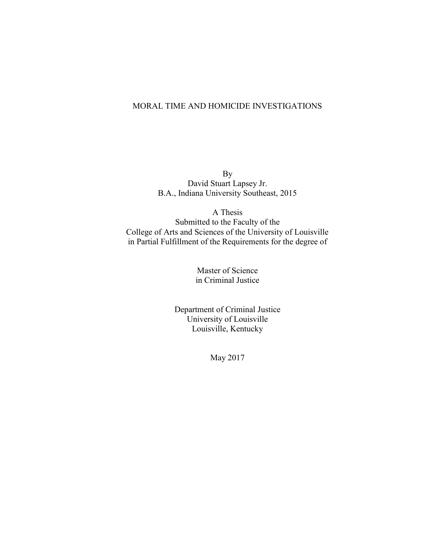## MORAL TIME AND HOMICIDE INVESTIGATIONS

By David Stuart Lapsey Jr. B.A., Indiana University Southeast, 2015

A Thesis Submitted to the Faculty of the College of Arts and Sciences of the University of Louisville in Partial Fulfillment of the Requirements for the degree of

> Master of Science in Criminal Justice

Department of Criminal Justice University of Louisville Louisville, Kentucky

May 2017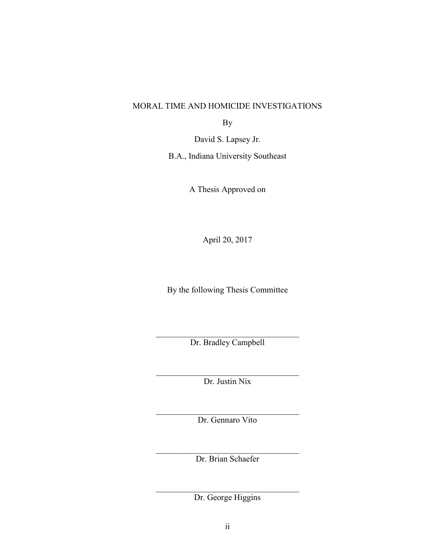## MORAL TIME AND HOMICIDE INVESTIGATIONS

By

David S. Lapsey Jr.

B.A., Indiana University Southeast

A Thesis Approved on

April 20, 2017

By the following Thesis Committee

 $\mathcal{L}_\text{max}$ Dr. Bradley Campbell

 $\mathcal{L}_\text{max}$  , and the set of the set of the set of the set of the set of the set of the set of the set of the set of the set of the set of the set of the set of the set of the set of the set of the set of the set of the Dr. Justin Nix

 $\mathcal{L}_\text{max}$  , and the set of the set of the set of the set of the set of the set of the set of the set of the set of the set of the set of the set of the set of the set of the set of the set of the set of the set of the Dr. Gennaro Vito

 $\mathcal{L}_\text{max}$  , and the set of the set of the set of the set of the set of the set of the set of the set of the set of the set of the set of the set of the set of the set of the set of the set of the set of the set of the Dr. Brian Schaefer

 $\mathcal{L}_\text{max}$ Dr. George Higgins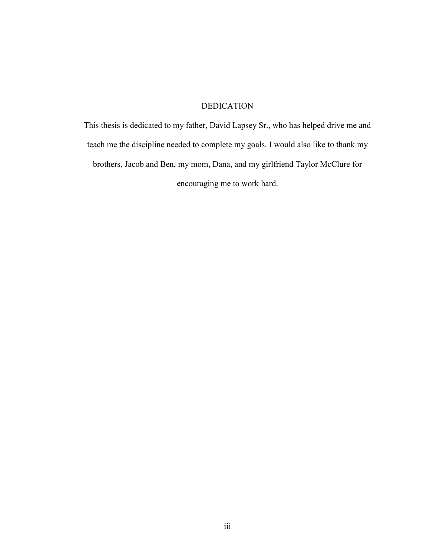## DEDICATION

This thesis is dedicated to my father, David Lapsey Sr., who has helped drive me and teach me the discipline needed to complete my goals. I would also like to thank my brothers, Jacob and Ben, my mom, Dana, and my girlfriend Taylor McClure for encouraging me to work hard.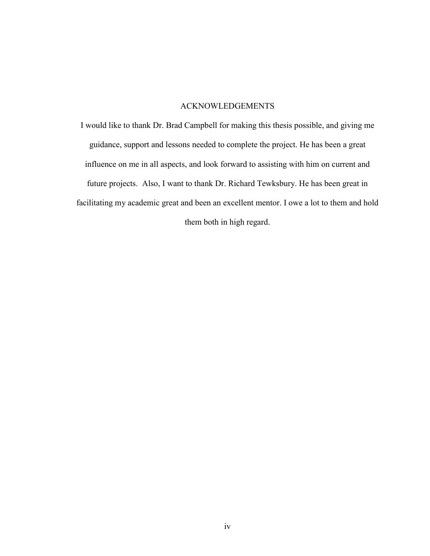## ACKNOWLEDGEMENTS

I would like to thank Dr. Brad Campbell for making this thesis possible, and giving me guidance, support and lessons needed to complete the project. He has been a great influence on me in all aspects, and look forward to assisting with him on current and future projects. Also, I want to thank Dr. Richard Tewksbury. He has been great in facilitating my academic great and been an excellent mentor. I owe a lot to them and hold them both in high regard.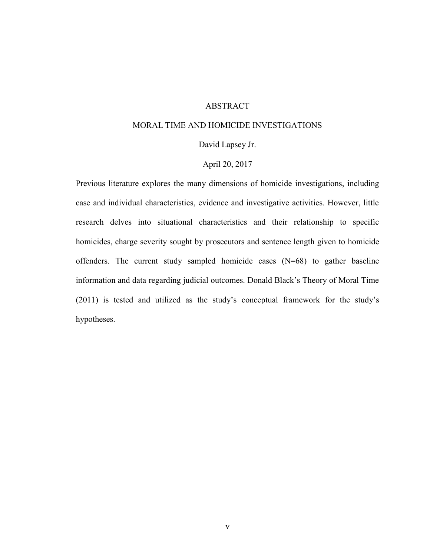## ABSTRACT

### MORAL TIME AND HOMICIDE INVESTIGATIONS

### David Lapsey Jr.

### April 20, 2017

Previous literature explores the many dimensions of homicide investigations, including case and individual characteristics, evidence and investigative activities. However, little research delves into situational characteristics and their relationship to specific homicides, charge severity sought by prosecutors and sentence length given to homicide offenders. The current study sampled homicide cases (N=68) to gather baseline information and data regarding judicial outcomes. Donald Black's Theory of Moral Time (2011) is tested and utilized as the study's conceptual framework for the study's hypotheses.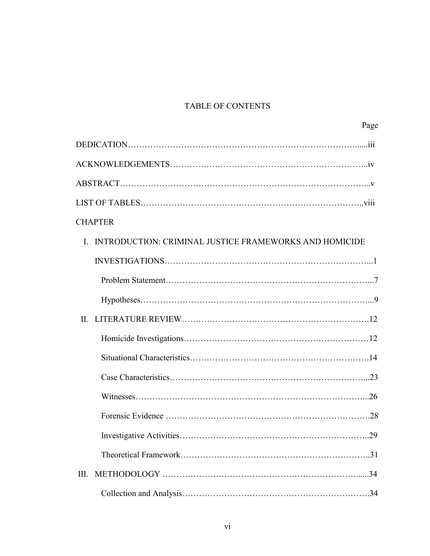## TABLE OF CONTENTS

| Page                                                                   |
|------------------------------------------------------------------------|
|                                                                        |
|                                                                        |
|                                                                        |
|                                                                        |
| <b>CHAPTER</b>                                                         |
| INTRODUCTION: CRIMINAL JUSTICE FRAMEWORKS AND HOMICIDE<br>$\mathbf{I}$ |
|                                                                        |
|                                                                        |
|                                                                        |
|                                                                        |
|                                                                        |
|                                                                        |
|                                                                        |
|                                                                        |
|                                                                        |
|                                                                        |
|                                                                        |
| Ш.                                                                     |
|                                                                        |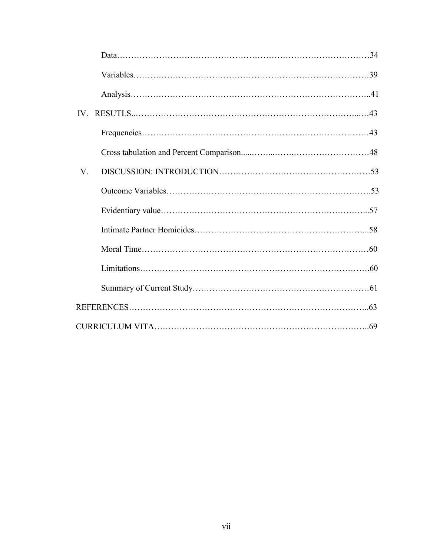| $V_{\cdot}$ |  |
|-------------|--|
|             |  |
|             |  |
|             |  |
|             |  |
|             |  |
|             |  |
|             |  |
|             |  |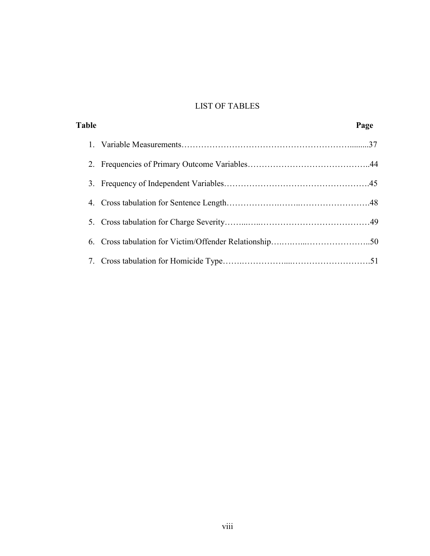## LIST OF TABLES

| <b>Table</b> | Page |
|--------------|------|
|              |      |
|              |      |
|              |      |
|              |      |
|              |      |
|              |      |
|              |      |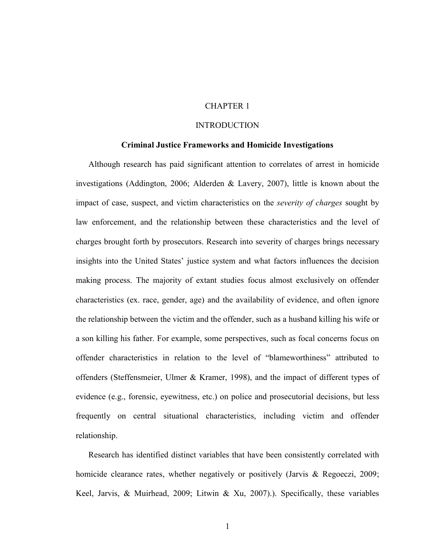## CHAPTER 1

### INTRODUCTION

#### **Criminal Justice Frameworks and Homicide Investigations**

Although research has paid significant attention to correlates of arrest in homicide investigations (Addington, 2006; Alderden & Lavery, 2007), little is known about the impact of case, suspect, and victim characteristics on the *severity of charges* sought by law enforcement, and the relationship between these characteristics and the level of charges brought forth by prosecutors. Research into severity of charges brings necessary insights into the United States' justice system and what factors influences the decision making process. The majority of extant studies focus almost exclusively on offender characteristics (ex. race, gender, age) and the availability of evidence, and often ignore the relationship between the victim and the offender, such as a husband killing his wife or a son killing his father. For example, some perspectives, such as focal concerns focus on offender characteristics in relation to the level of "blameworthiness" attributed to offenders (Steffensmeier, Ulmer & Kramer, 1998), and the impact of different types of evidence (e.g., forensic, eyewitness, etc.) on police and prosecutorial decisions, but less frequently on central situational characteristics, including victim and offender relationship.

Research has identified distinct variables that have been consistently correlated with homicide clearance rates, whether negatively or positively (Jarvis & Regoeczi, 2009; Keel, Jarvis, & Muirhead, 2009; Litwin & Xu, 2007).). Specifically, these variables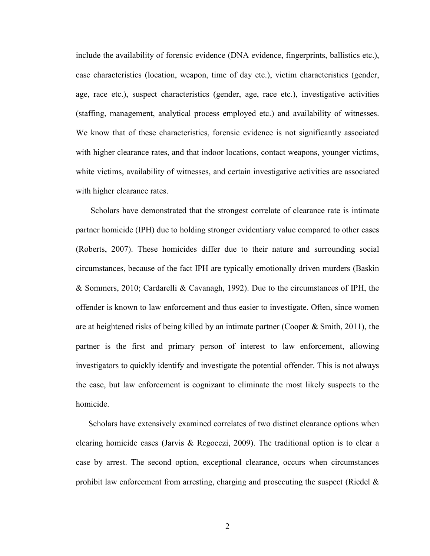include the availability of forensic evidence (DNA evidence, fingerprints, ballistics etc.), case characteristics (location, weapon, time of day etc.), victim characteristics (gender, age, race etc.), suspect characteristics (gender, age, race etc.), investigative activities (staffing, management, analytical process employed etc.) and availability of witnesses. We know that of these characteristics, forensic evidence is not significantly associated with higher clearance rates, and that indoor locations, contact weapons, younger victims, white victims, availability of witnesses, and certain investigative activities are associated with higher clearance rates.

Scholars have demonstrated that the strongest correlate of clearance rate is intimate partner homicide (IPH) due to holding stronger evidentiary value compared to other cases (Roberts, 2007). These homicides differ due to their nature and surrounding social circumstances, because of the fact IPH are typically emotionally driven murders (Baskin & Sommers, 2010; Cardarelli & Cavanagh, 1992). Due to the circumstances of IPH, the offender is known to law enforcement and thus easier to investigate. Often, since women are at heightened risks of being killed by an intimate partner (Cooper  $\&$  Smith, 2011), the partner is the first and primary person of interest to law enforcement, allowing investigators to quickly identify and investigate the potential offender. This is not always the case, but law enforcement is cognizant to eliminate the most likely suspects to the homicide.

Scholars have extensively examined correlates of two distinct clearance options when clearing homicide cases (Jarvis & Regoeczi, 2009). The traditional option is to clear a case by arrest. The second option, exceptional clearance, occurs when circumstances prohibit law enforcement from arresting, charging and prosecuting the suspect (Riedel  $\&$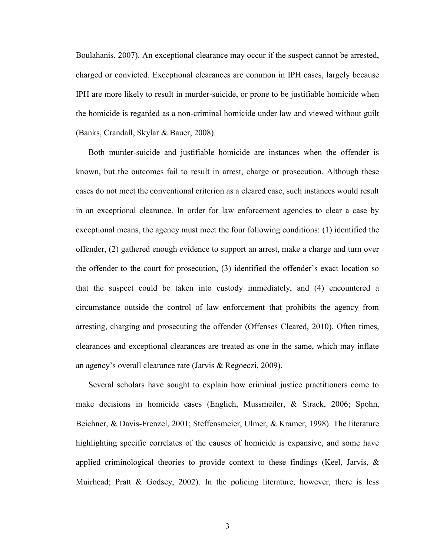Boulahanis, 2007). An exceptional clearance may occur if the suspect cannot be arrested, charged or convicted. Exceptional clearances are common in IPH cases, largely because IPH are more likely to result in murder-suicide, or prone to be justifiable homicide when the homicide is regarded as a non-criminal homicide under law and viewed without guilt (Banks, Crandall, Skylar & Bauer, 2008).

Both murder-suicide and justifiable homicide are instances when the offender is known, but the outcomes fail to result in arrest, charge or prosecution. Although these cases do not meet the conventional criterion as a cleared case, such instances would result in an exceptional clearance. In order for law enforcement agencies to clear a case by exceptional means, the agency must meet the four following conditions: (1) identified the offender, (2) gathered enough evidence to support an arrest, make a charge and turn over the offender to the court for prosecution, (3) identified the offender's exact location so that the suspect could be taken into custody immediately, and (4) encountered a circumstance outside the control of law enforcement that prohibits the agency from arresting, charging and prosecuting the offender (Offenses Cleared, 2010). Often times, clearances and exceptional clearances are treated as one in the same, which may inflate an agency's overall clearance rate (Jarvis & Regoeczi, 2009).

Several scholars have sought to explain how criminal justice practitioners come to make decisions in homicide cases (Englich, Mussmeiler, & Strack, 2006; Spohn, Beichner, & Davis-Frenzel, 2001; Steffensmeier, Ulmer, & Kramer, 1998). The literature highlighting specific correlates of the causes of homicide is expansive, and some have applied criminological theories to provide context to these findings (Keel, Jarvis, & Muirhead; Pratt & Godsey, 2002). In the policing literature, however, there is less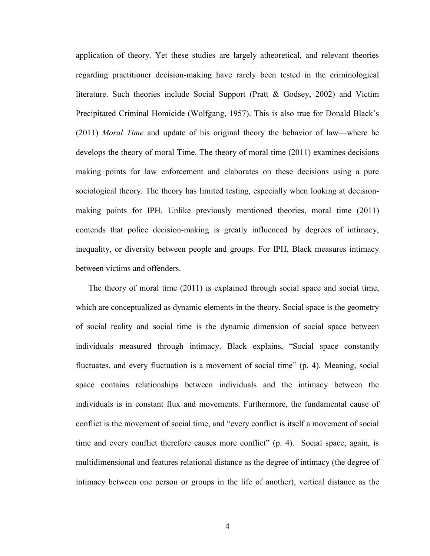application of theory. Yet these studies are largely atheoretical, and relevant theories regarding practitioner decision-making have rarely been tested in the criminological literature. Such theories include Social Support (Pratt & Godsey, 2002) and Victim Precipitated Criminal Homicide (Wolfgang, 1957). This is also true for Donald Black's (2011) *Moral Time* and update of his original theory the behavior of law—where he develops the theory of moral Time. The theory of moral time (2011) examines decisions making points for law enforcement and elaborates on these decisions using a pure sociological theory. The theory has limited testing, especially when looking at decisionmaking points for IPH. Unlike previously mentioned theories, moral time (2011) contends that police decision-making is greatly influenced by degrees of intimacy, inequality, or diversity between people and groups. For IPH, Black measures intimacy between victims and offenders.

The theory of moral time (2011) is explained through social space and social time, which are conceptualized as dynamic elements in the theory. Social space is the geometry of social reality and social time is the dynamic dimension of social space between individuals measured through intimacy. Black explains, "Social space constantly fluctuates, and every fluctuation is a movement of social time" (p. 4). Meaning, social space contains relationships between individuals and the intimacy between the individuals is in constant flux and movements. Furthermore, the fundamental cause of conflict is the movement of social time, and "every conflict is itself a movement of social time and every conflict therefore causes more conflict" (p. 4). Social space, again, is multidimensional and features relational distance as the degree of intimacy (the degree of intimacy between one person or groups in the life of another), vertical distance as the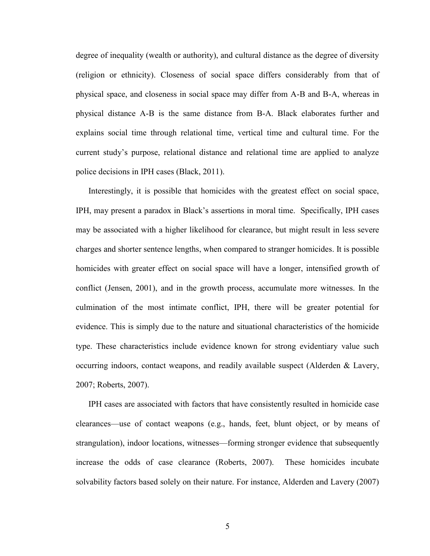degree of inequality (wealth or authority), and cultural distance as the degree of diversity (religion or ethnicity). Closeness of social space differs considerably from that of physical space, and closeness in social space may differ from A-B and B-A, whereas in physical distance A-B is the same distance from B-A. Black elaborates further and explains social time through relational time, vertical time and cultural time. For the current study's purpose, relational distance and relational time are applied to analyze police decisions in IPH cases (Black, 2011).

Interestingly, it is possible that homicides with the greatest effect on social space, IPH, may present a paradox in Black's assertions in moral time. Specifically, IPH cases may be associated with a higher likelihood for clearance, but might result in less severe charges and shorter sentence lengths, when compared to stranger homicides. It is possible homicides with greater effect on social space will have a longer, intensified growth of conflict (Jensen, 2001), and in the growth process, accumulate more witnesses. In the culmination of the most intimate conflict, IPH, there will be greater potential for evidence. This is simply due to the nature and situational characteristics of the homicide type. These characteristics include evidence known for strong evidentiary value such occurring indoors, contact weapons, and readily available suspect (Alderden & Lavery, 2007; Roberts, 2007).

IPH cases are associated with factors that have consistently resulted in homicide case clearances—use of contact weapons (e.g., hands, feet, blunt object, or by means of strangulation), indoor locations, witnesses—forming stronger evidence that subsequently increase the odds of case clearance (Roberts, 2007). These homicides incubate solvability factors based solely on their nature. For instance, Alderden and Lavery (2007)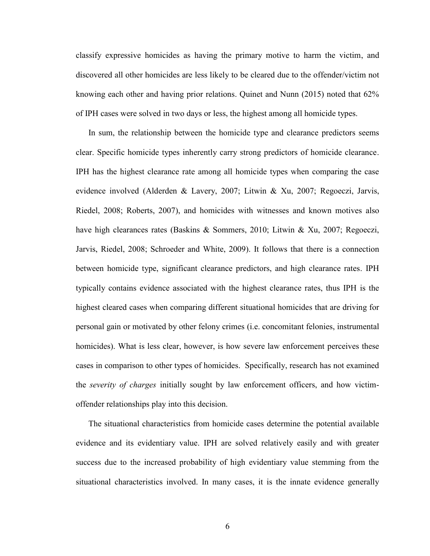classify expressive homicides as having the primary motive to harm the victim, and discovered all other homicides are less likely to be cleared due to the offender/victim not knowing each other and having prior relations. Quinet and Nunn (2015) noted that 62% of IPH cases were solved in two days or less, the highest among all homicide types.

In sum, the relationship between the homicide type and clearance predictors seems clear. Specific homicide types inherently carry strong predictors of homicide clearance. IPH has the highest clearance rate among all homicide types when comparing the case evidence involved (Alderden & Lavery, 2007; Litwin & Xu, 2007; Regoeczi, Jarvis, Riedel, 2008; Roberts, 2007), and homicides with witnesses and known motives also have high clearances rates (Baskins & Sommers, 2010; Litwin & Xu, 2007; Regoeczi, Jarvis, Riedel, 2008; Schroeder and White, 2009). It follows that there is a connection between homicide type, significant clearance predictors, and high clearance rates. IPH typically contains evidence associated with the highest clearance rates, thus IPH is the highest cleared cases when comparing different situational homicides that are driving for personal gain or motivated by other felony crimes (i.e. concomitant felonies, instrumental homicides). What is less clear, however, is how severe law enforcement perceives these cases in comparison to other types of homicides. Specifically, research has not examined the *severity of charges* initially sought by law enforcement officers, and how victimoffender relationships play into this decision.

The situational characteristics from homicide cases determine the potential available evidence and its evidentiary value. IPH are solved relatively easily and with greater success due to the increased probability of high evidentiary value stemming from the situational characteristics involved. In many cases, it is the innate evidence generally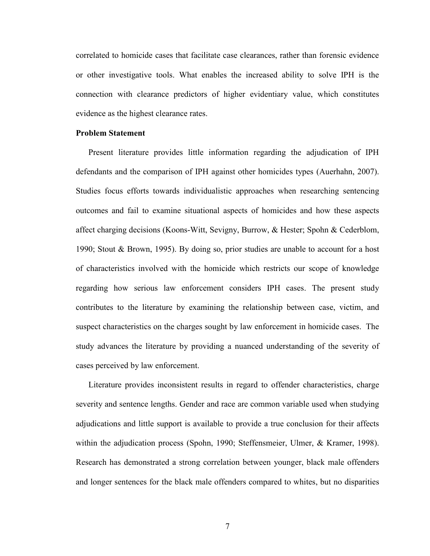correlated to homicide cases that facilitate case clearances, rather than forensic evidence or other investigative tools. What enables the increased ability to solve IPH is the connection with clearance predictors of higher evidentiary value, which constitutes evidence as the highest clearance rates.

#### **Problem Statement**

Present literature provides little information regarding the adjudication of IPH defendants and the comparison of IPH against other homicides types (Auerhahn, 2007). Studies focus efforts towards individualistic approaches when researching sentencing outcomes and fail to examine situational aspects of homicides and how these aspects affect charging decisions (Koons-Witt, Sevigny, Burrow, & Hester; Spohn & Cederblom, 1990; Stout & Brown, 1995). By doing so, prior studies are unable to account for a host of characteristics involved with the homicide which restricts our scope of knowledge regarding how serious law enforcement considers IPH cases. The present study contributes to the literature by examining the relationship between case, victim, and suspect characteristics on the charges sought by law enforcement in homicide cases. The study advances the literature by providing a nuanced understanding of the severity of cases perceived by law enforcement.

Literature provides inconsistent results in regard to offender characteristics, charge severity and sentence lengths. Gender and race are common variable used when studying adjudications and little support is available to provide a true conclusion for their affects within the adjudication process (Spohn, 1990; Steffensmeier, Ulmer, & Kramer, 1998). Research has demonstrated a strong correlation between younger, black male offenders and longer sentences for the black male offenders compared to whites, but no disparities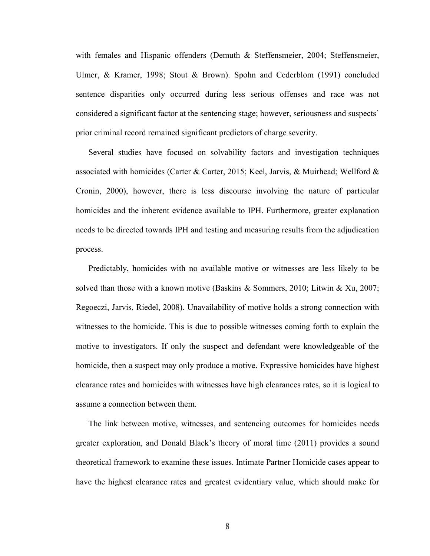with females and Hispanic offenders (Demuth & Steffensmeier, 2004; Steffensmeier, Ulmer, & Kramer, 1998; Stout & Brown). Spohn and Cederblom (1991) concluded sentence disparities only occurred during less serious offenses and race was not considered a significant factor at the sentencing stage; however, seriousness and suspects' prior criminal record remained significant predictors of charge severity.

Several studies have focused on solvability factors and investigation techniques associated with homicides (Carter & Carter, 2015; Keel, Jarvis, & Muirhead; Wellford & Cronin, 2000), however, there is less discourse involving the nature of particular homicides and the inherent evidence available to IPH. Furthermore, greater explanation needs to be directed towards IPH and testing and measuring results from the adjudication process.

Predictably, homicides with no available motive or witnesses are less likely to be solved than those with a known motive (Baskins & Sommers, 2010; Litwin & Xu, 2007; Regoeczi, Jarvis, Riedel, 2008). Unavailability of motive holds a strong connection with witnesses to the homicide. This is due to possible witnesses coming forth to explain the motive to investigators. If only the suspect and defendant were knowledgeable of the homicide, then a suspect may only produce a motive. Expressive homicides have highest clearance rates and homicides with witnesses have high clearances rates, so it is logical to assume a connection between them.

The link between motive, witnesses, and sentencing outcomes for homicides needs greater exploration, and Donald Black's theory of moral time (2011) provides a sound theoretical framework to examine these issues. Intimate Partner Homicide cases appear to have the highest clearance rates and greatest evidentiary value, which should make for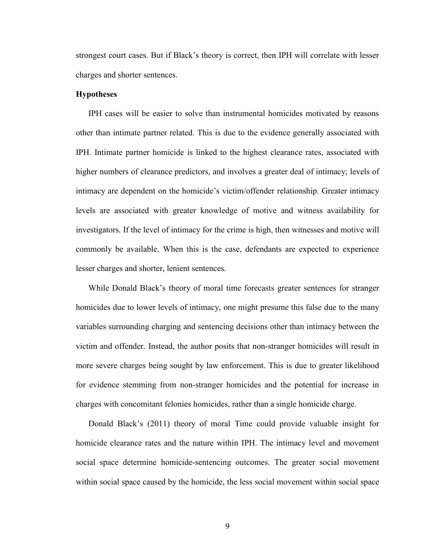strongest court cases. But if Black's theory is correct, then IPH will correlate with lesser charges and shorter sentences.

### **Hypotheses**

IPH cases will be easier to solve than instrumental homicides motivated by reasons other than intimate partner related. This is due to the evidence generally associated with IPH. Intimate partner homicide is linked to the highest clearance rates, associated with higher numbers of clearance predictors, and involves a greater deal of intimacy; levels of intimacy are dependent on the homicide's victim/offender relationship. Greater intimacy levels are associated with greater knowledge of motive and witness availability for investigators. If the level of intimacy for the crime is high, then witnesses and motive will commonly be available. When this is the case, defendants are expected to experience lesser charges and shorter, lenient sentences.

While Donald Black's theory of moral time forecasts greater sentences for stranger homicides due to lower levels of intimacy, one might presume this false due to the many variables surrounding charging and sentencing decisions other than intimacy between the victim and offender. Instead, the author posits that non-stranger homicides will result in more severe charges being sought by law enforcement. This is due to greater likelihood for evidence stemming from non-stranger homicides and the potential for increase in charges with concomitant felonies homicides, rather than a single homicide charge.

Donald Black's (2011) theory of moral Time could provide valuable insight for homicide clearance rates and the nature within IPH. The intimacy level and movement social space determine homicide-sentencing outcomes. The greater social movement within social space caused by the homicide, the less social movement within social space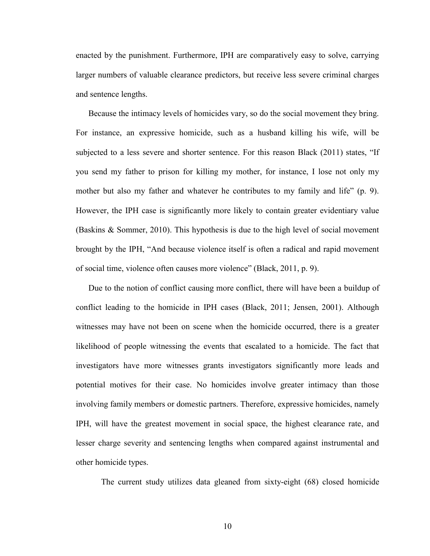enacted by the punishment. Furthermore, IPH are comparatively easy to solve, carrying larger numbers of valuable clearance predictors, but receive less severe criminal charges and sentence lengths.

Because the intimacy levels of homicides vary, so do the social movement they bring. For instance, an expressive homicide, such as a husband killing his wife, will be subjected to a less severe and shorter sentence. For this reason Black (2011) states, "If you send my father to prison for killing my mother, for instance, I lose not only my mother but also my father and whatever he contributes to my family and life" (p. 9). However, the IPH case is significantly more likely to contain greater evidentiary value (Baskins & Sommer, 2010). This hypothesis is due to the high level of social movement brought by the IPH, "And because violence itself is often a radical and rapid movement of social time, violence often causes more violence" (Black, 2011, p. 9).

Due to the notion of conflict causing more conflict, there will have been a buildup of conflict leading to the homicide in IPH cases (Black, 2011; Jensen, 2001). Although witnesses may have not been on scene when the homicide occurred, there is a greater likelihood of people witnessing the events that escalated to a homicide. The fact that investigators have more witnesses grants investigators significantly more leads and potential motives for their case. No homicides involve greater intimacy than those involving family members or domestic partners. Therefore, expressive homicides, namely IPH, will have the greatest movement in social space, the highest clearance rate, and lesser charge severity and sentencing lengths when compared against instrumental and other homicide types.

The current study utilizes data gleaned from sixty-eight (68) closed homicide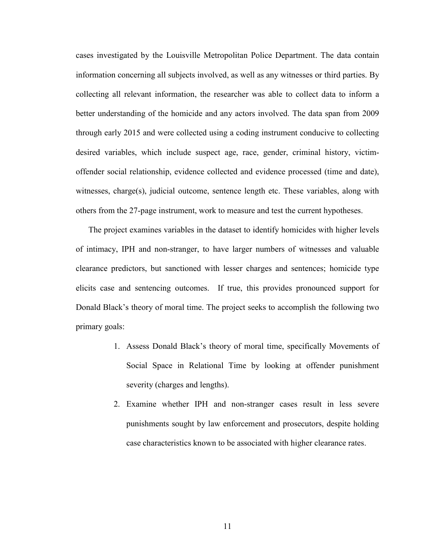cases investigated by the Louisville Metropolitan Police Department. The data contain information concerning all subjects involved, as well as any witnesses or third parties. By collecting all relevant information, the researcher was able to collect data to inform a better understanding of the homicide and any actors involved. The data span from 2009 through early 2015 and were collected using a coding instrument conducive to collecting desired variables, which include suspect age, race, gender, criminal history, victimoffender social relationship, evidence collected and evidence processed (time and date), witnesses, charge(s), judicial outcome, sentence length etc. These variables, along with others from the 27-page instrument, work to measure and test the current hypotheses.

The project examines variables in the dataset to identify homicides with higher levels of intimacy, IPH and non-stranger, to have larger numbers of witnesses and valuable clearance predictors, but sanctioned with lesser charges and sentences; homicide type elicits case and sentencing outcomes. If true, this provides pronounced support for Donald Black's theory of moral time. The project seeks to accomplish the following two primary goals:

- 1. Assess Donald Black's theory of moral time, specifically Movements of Social Space in Relational Time by looking at offender punishment severity (charges and lengths).
- 2. Examine whether IPH and non-stranger cases result in less severe punishments sought by law enforcement and prosecutors, despite holding case characteristics known to be associated with higher clearance rates.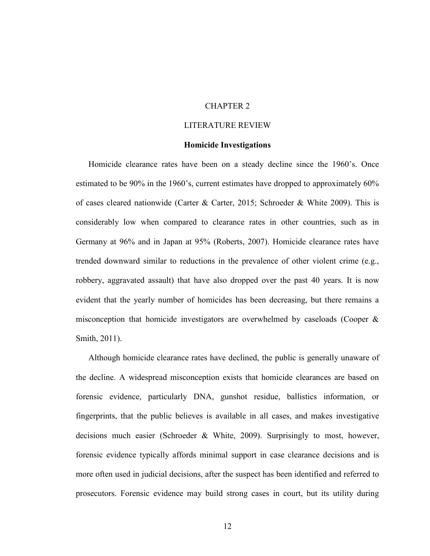## CHAPTER 2

### LITERATURE REVIEW

#### **Homicide Investigations**

Homicide clearance rates have been on a steady decline since the 1960's. Once estimated to be 90% in the 1960's, current estimates have dropped to approximately 60% of cases cleared nationwide (Carter & Carter, 2015; Schroeder & White 2009). This is considerably low when compared to clearance rates in other countries, such as in Germany at 96% and in Japan at 95% (Roberts, 2007). Homicide clearance rates have trended downward similar to reductions in the prevalence of other violent crime (e.g., robbery, aggravated assault) that have also dropped over the past 40 years. It is now evident that the yearly number of homicides has been decreasing, but there remains a misconception that homicide investigators are overwhelmed by caseloads (Cooper & Smith, 2011).

Although homicide clearance rates have declined, the public is generally unaware of the decline. A widespread misconception exists that homicide clearances are based on forensic evidence, particularly DNA, gunshot residue, ballistics information, or fingerprints, that the public believes is available in all cases, and makes investigative decisions much easier (Schroeder & White, 2009). Surprisingly to most, however, forensic evidence typically affords minimal support in case clearance decisions and is more often used in judicial decisions, after the suspect has been identified and referred to prosecutors. Forensic evidence may build strong cases in court, but its utility during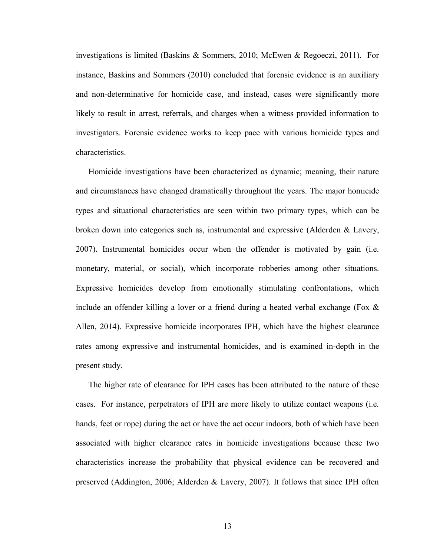investigations is limited (Baskins & Sommers, 2010; McEwen & Regoeczi, 2011). For instance, Baskins and Sommers (2010) concluded that forensic evidence is an auxiliary and non-determinative for homicide case, and instead, cases were significantly more likely to result in arrest, referrals, and charges when a witness provided information to investigators. Forensic evidence works to keep pace with various homicide types and characteristics.

Homicide investigations have been characterized as dynamic; meaning, their nature and circumstances have changed dramatically throughout the years. The major homicide types and situational characteristics are seen within two primary types, which can be broken down into categories such as, instrumental and expressive (Alderden & Lavery, 2007). Instrumental homicides occur when the offender is motivated by gain (i.e. monetary, material, or social), which incorporate robberies among other situations. Expressive homicides develop from emotionally stimulating confrontations, which include an offender killing a lover or a friend during a heated verbal exchange (Fox  $\&$ Allen, 2014). Expressive homicide incorporates IPH, which have the highest clearance rates among expressive and instrumental homicides, and is examined in-depth in the present study.

The higher rate of clearance for IPH cases has been attributed to the nature of these cases. For instance, perpetrators of IPH are more likely to utilize contact weapons (i.e. hands, feet or rope) during the act or have the act occur indoors, both of which have been associated with higher clearance rates in homicide investigations because these two characteristics increase the probability that physical evidence can be recovered and preserved (Addington, 2006; Alderden & Lavery, 2007). It follows that since IPH often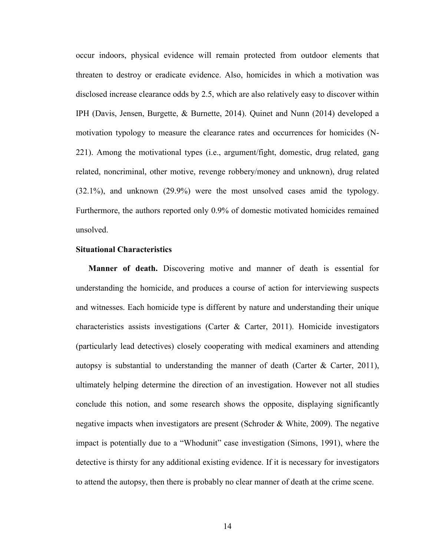occur indoors, physical evidence will remain protected from outdoor elements that threaten to destroy or eradicate evidence. Also, homicides in which a motivation was disclosed increase clearance odds by 2.5, which are also relatively easy to discover within IPH (Davis, Jensen, Burgette, & Burnette, 2014). Quinet and Nunn (2014) developed a motivation typology to measure the clearance rates and occurrences for homicides (N-221). Among the motivational types (i.e., argument/fight, domestic, drug related, gang related, noncriminal, other motive, revenge robbery/money and unknown), drug related (32.1%), and unknown (29.9%) were the most unsolved cases amid the typology. Furthermore, the authors reported only 0.9% of domestic motivated homicides remained unsolved.

### **Situational Characteristics**

**Manner of death.** Discovering motive and manner of death is essential for understanding the homicide, and produces a course of action for interviewing suspects and witnesses. Each homicide type is different by nature and understanding their unique characteristics assists investigations (Carter & Carter, 2011). Homicide investigators (particularly lead detectives) closely cooperating with medical examiners and attending autopsy is substantial to understanding the manner of death (Carter  $\&$  Carter, 2011), ultimately helping determine the direction of an investigation. However not all studies conclude this notion, and some research shows the opposite, displaying significantly negative impacts when investigators are present (Schroder & White, 2009). The negative impact is potentially due to a "Whodunit" case investigation (Simons, 1991), where the detective is thirsty for any additional existing evidence. If it is necessary for investigators to attend the autopsy, then there is probably no clear manner of death at the crime scene.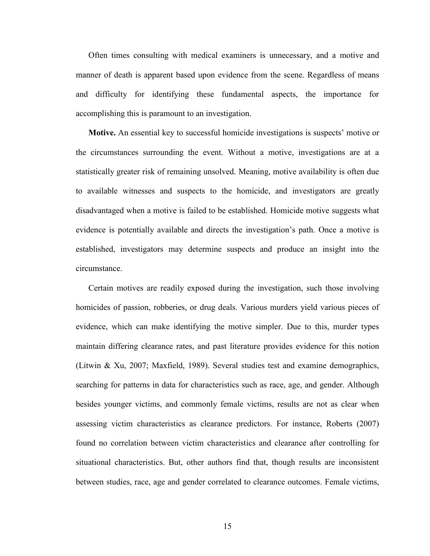Often times consulting with medical examiners is unnecessary, and a motive and manner of death is apparent based upon evidence from the scene. Regardless of means and difficulty for identifying these fundamental aspects, the importance for accomplishing this is paramount to an investigation.

**Motive.** An essential key to successful homicide investigations is suspects' motive or the circumstances surrounding the event. Without a motive, investigations are at a statistically greater risk of remaining unsolved. Meaning, motive availability is often due to available witnesses and suspects to the homicide, and investigators are greatly disadvantaged when a motive is failed to be established. Homicide motive suggests what evidence is potentially available and directs the investigation's path. Once a motive is established, investigators may determine suspects and produce an insight into the circumstance.

Certain motives are readily exposed during the investigation, such those involving homicides of passion, robberies, or drug deals. Various murders yield various pieces of evidence, which can make identifying the motive simpler. Due to this, murder types maintain differing clearance rates, and past literature provides evidence for this notion (Litwin & Xu, 2007; Maxfield, 1989). Several studies test and examine demographics, searching for patterns in data for characteristics such as race, age, and gender. Although besides younger victims, and commonly female victims, results are not as clear when assessing victim characteristics as clearance predictors. For instance, Roberts (2007) found no correlation between victim characteristics and clearance after controlling for situational characteristics. But, other authors find that, though results are inconsistent between studies, race, age and gender correlated to clearance outcomes. Female victims,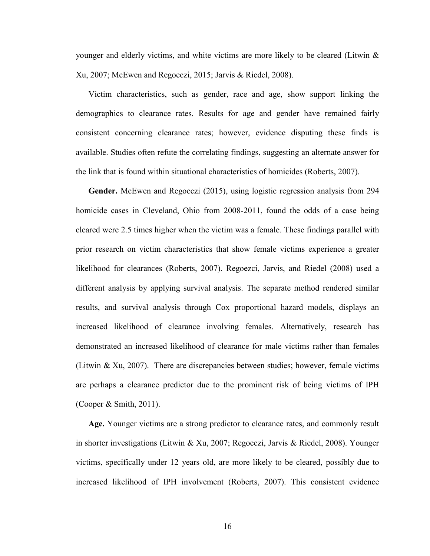younger and elderly victims, and white victims are more likely to be cleared (Litwin  $\&$ Xu, 2007; McEwen and Regoeczi, 2015; Jarvis & Riedel, 2008).

Victim characteristics, such as gender, race and age, show support linking the demographics to clearance rates. Results for age and gender have remained fairly consistent concerning clearance rates; however, evidence disputing these finds is available. Studies often refute the correlating findings, suggesting an alternate answer for the link that is found within situational characteristics of homicides (Roberts, 2007).

**Gender.** McEwen and Regoeczi (2015), using logistic regression analysis from 294 homicide cases in Cleveland, Ohio from 2008-2011, found the odds of a case being cleared were 2.5 times higher when the victim was a female. These findings parallel with prior research on victim characteristics that show female victims experience a greater likelihood for clearances (Roberts, 2007). Regoezci, Jarvis, and Riedel (2008) used a different analysis by applying survival analysis. The separate method rendered similar results, and survival analysis through Cox proportional hazard models, displays an increased likelihood of clearance involving females. Alternatively, research has demonstrated an increased likelihood of clearance for male victims rather than females (Litwin & Xu, 2007). There are discrepancies between studies; however, female victims are perhaps a clearance predictor due to the prominent risk of being victims of IPH (Cooper & Smith, 2011).

**Age.** Younger victims are a strong predictor to clearance rates, and commonly result in shorter investigations (Litwin & Xu, 2007; Regoeczi, Jarvis & Riedel, 2008). Younger victims, specifically under 12 years old, are more likely to be cleared, possibly due to increased likelihood of IPH involvement (Roberts, 2007). This consistent evidence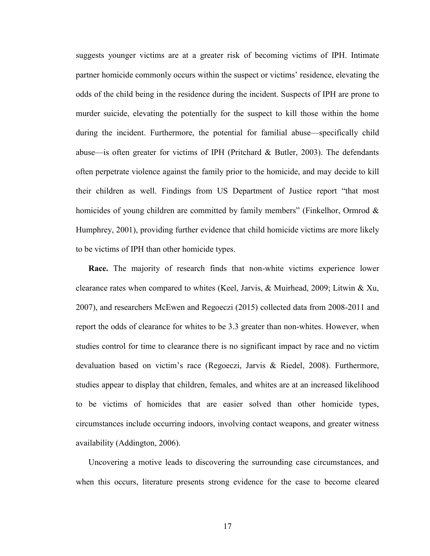suggests younger victims are at a greater risk of becoming victims of IPH. Intimate partner homicide commonly occurs within the suspect or victims' residence, elevating the odds of the child being in the residence during the incident. Suspects of IPH are prone to murder suicide, elevating the potentially for the suspect to kill those within the home during the incident. Furthermore, the potential for familial abuse—specifically child abuse—is often greater for victims of IPH (Pritchard & Butler, 2003). The defendants often perpetrate violence against the family prior to the homicide, and may decide to kill their children as well. Findings from US Department of Justice report "that most homicides of young children are committed by family members" (Finkelhor, Ormrod & Humphrey, 2001), providing further evidence that child homicide victims are more likely to be victims of IPH than other homicide types.

**Race.** The majority of research finds that non-white victims experience lower clearance rates when compared to whites (Keel, Jarvis, & Muirhead, 2009; Litwin & Xu, 2007), and researchers McEwen and Regoeczi (2015) collected data from 2008-2011 and report the odds of clearance for whites to be 3.3 greater than non-whites. However, when studies control for time to clearance there is no significant impact by race and no victim devaluation based on victim's race (Regoeczi, Jarvis & Riedel, 2008). Furthermore, studies appear to display that children, females, and whites are at an increased likelihood to be victims of homicides that are easier solved than other homicide types, circumstances include occurring indoors, involving contact weapons, and greater witness availability (Addington, 2006).

Uncovering a motive leads to discovering the surrounding case circumstances, and when this occurs, literature presents strong evidence for the case to become cleared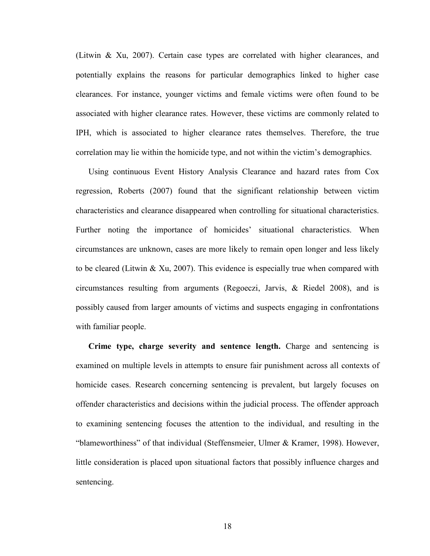(Litwin & Xu, 2007). Certain case types are correlated with higher clearances, and potentially explains the reasons for particular demographics linked to higher case clearances. For instance, younger victims and female victims were often found to be associated with higher clearance rates. However, these victims are commonly related to IPH, which is associated to higher clearance rates themselves. Therefore, the true correlation may lie within the homicide type, and not within the victim's demographics.

Using continuous Event History Analysis Clearance and hazard rates from Cox regression, Roberts (2007) found that the significant relationship between victim characteristics and clearance disappeared when controlling for situational characteristics. Further noting the importance of homicides' situational characteristics. When circumstances are unknown, cases are more likely to remain open longer and less likely to be cleared (Litwin  $\&$  Xu, 2007). This evidence is especially true when compared with circumstances resulting from arguments (Regoeczi, Jarvis, & Riedel 2008), and is possibly caused from larger amounts of victims and suspects engaging in confrontations with familiar people.

**Crime type, charge severity and sentence length.** Charge and sentencing is examined on multiple levels in attempts to ensure fair punishment across all contexts of homicide cases. Research concerning sentencing is prevalent, but largely focuses on offender characteristics and decisions within the judicial process. The offender approach to examining sentencing focuses the attention to the individual, and resulting in the "blameworthiness" of that individual (Steffensmeier, Ulmer & Kramer, 1998). However, little consideration is placed upon situational factors that possibly influence charges and sentencing.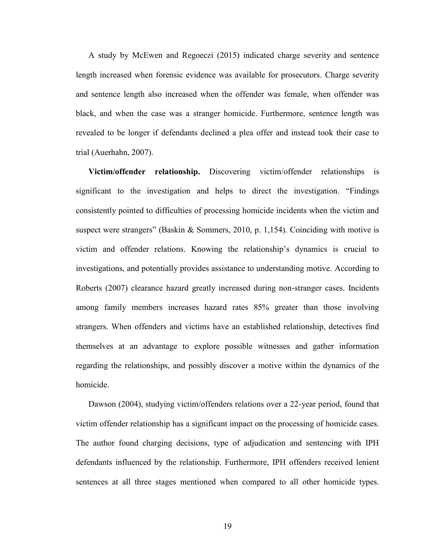A study by McEwen and Regoeczi (2015) indicated charge severity and sentence length increased when forensic evidence was available for prosecutors. Charge severity and sentence length also increased when the offender was female, when offender was black, and when the case was a stranger homicide. Furthermore, sentence length was revealed to be longer if defendants declined a plea offer and instead took their case to trial (Auerhahn, 2007).

**Victim/offender relationship.** Discovering victim/offender relationships is significant to the investigation and helps to direct the investigation. "Findings consistently pointed to difficulties of processing homicide incidents when the victim and suspect were strangers" (Baskin & Sommers, 2010, p. 1,154). Coinciding with motive is victim and offender relations. Knowing the relationship's dynamics is crucial to investigations, and potentially provides assistance to understanding motive. According to Roberts (2007) clearance hazard greatly increased during non-stranger cases. Incidents among family members increases hazard rates 85% greater than those involving strangers. When offenders and victims have an established relationship, detectives find themselves at an advantage to explore possible witnesses and gather information regarding the relationships, and possibly discover a motive within the dynamics of the homicide.

Dawson (2004), studying victim/offenders relations over a 22-year period, found that victim offender relationship has a significant impact on the processing of homicide cases. The author found charging decisions, type of adjudication and sentencing with IPH defendants influenced by the relationship. Furthermore, IPH offenders received lenient sentences at all three stages mentioned when compared to all other homicide types.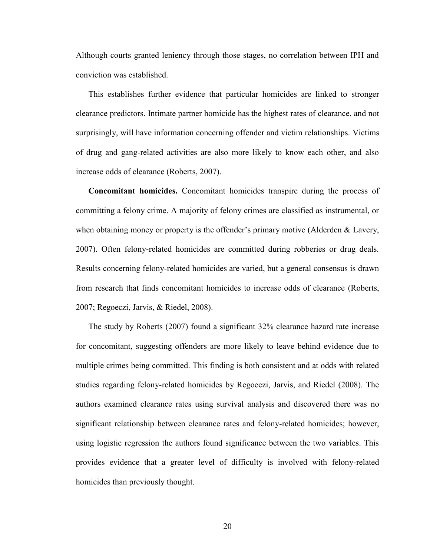Although courts granted leniency through those stages, no correlation between IPH and conviction was established.

This establishes further evidence that particular homicides are linked to stronger clearance predictors. Intimate partner homicide has the highest rates of clearance, and not surprisingly, will have information concerning offender and victim relationships. Victims of drug and gang-related activities are also more likely to know each other, and also increase odds of clearance (Roberts, 2007).

**Concomitant homicides.** Concomitant homicides transpire during the process of committing a felony crime. A majority of felony crimes are classified as instrumental, or when obtaining money or property is the offender's primary motive (Alderden & Lavery, 2007). Often felony-related homicides are committed during robberies or drug deals. Results concerning felony-related homicides are varied, but a general consensus is drawn from research that finds concomitant homicides to increase odds of clearance (Roberts, 2007; Regoeczi, Jarvis, & Riedel, 2008).

The study by Roberts (2007) found a significant 32% clearance hazard rate increase for concomitant, suggesting offenders are more likely to leave behind evidence due to multiple crimes being committed. This finding is both consistent and at odds with related studies regarding felony-related homicides by Regoeczi, Jarvis, and Riedel (2008). The authors examined clearance rates using survival analysis and discovered there was no significant relationship between clearance rates and felony-related homicides; however, using logistic regression the authors found significance between the two variables. This provides evidence that a greater level of difficulty is involved with felony-related homicides than previously thought.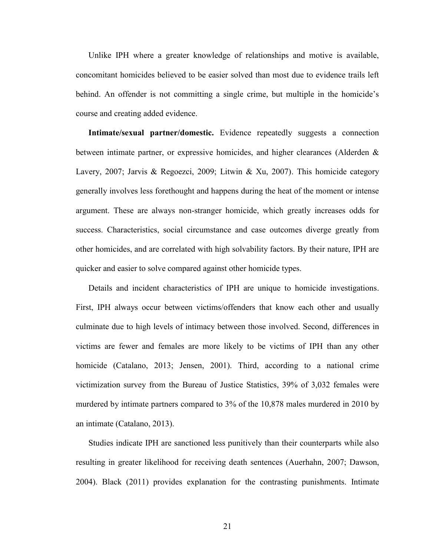Unlike IPH where a greater knowledge of relationships and motive is available, concomitant homicides believed to be easier solved than most due to evidence trails left behind. An offender is not committing a single crime, but multiple in the homicide's course and creating added evidence.

**Intimate/sexual partner/domestic.** Evidence repeatedly suggests a connection between intimate partner, or expressive homicides, and higher clearances (Alderden & Lavery, 2007; Jarvis & Regoezci, 2009; Litwin & Xu, 2007). This homicide category generally involves less forethought and happens during the heat of the moment or intense argument. These are always non-stranger homicide, which greatly increases odds for success. Characteristics, social circumstance and case outcomes diverge greatly from other homicides, and are correlated with high solvability factors. By their nature, IPH are quicker and easier to solve compared against other homicide types.

Details and incident characteristics of IPH are unique to homicide investigations. First, IPH always occur between victims/offenders that know each other and usually culminate due to high levels of intimacy between those involved. Second, differences in victims are fewer and females are more likely to be victims of IPH than any other homicide (Catalano, 2013; Jensen, 2001). Third, according to a national crime victimization survey from the Bureau of Justice Statistics, 39% of 3,032 females were murdered by intimate partners compared to 3% of the 10,878 males murdered in 2010 by an intimate (Catalano, 2013).

Studies indicate IPH are sanctioned less punitively than their counterparts while also resulting in greater likelihood for receiving death sentences (Auerhahn, 2007; Dawson, 2004). Black (2011) provides explanation for the contrasting punishments. Intimate

21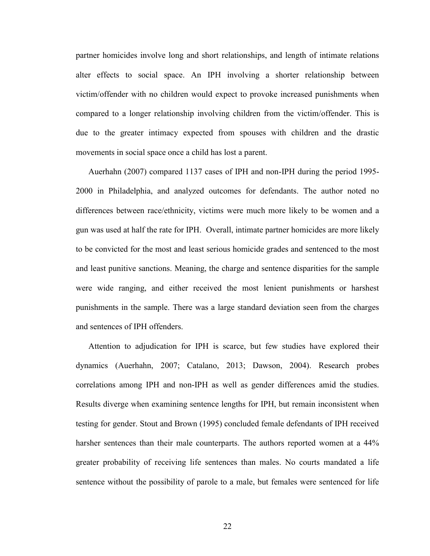partner homicides involve long and short relationships, and length of intimate relations alter effects to social space. An IPH involving a shorter relationship between victim/offender with no children would expect to provoke increased punishments when compared to a longer relationship involving children from the victim/offender. This is due to the greater intimacy expected from spouses with children and the drastic movements in social space once a child has lost a parent.

Auerhahn (2007) compared 1137 cases of IPH and non-IPH during the period 1995- 2000 in Philadelphia, and analyzed outcomes for defendants. The author noted no differences between race/ethnicity, victims were much more likely to be women and a gun was used at half the rate for IPH. Overall, intimate partner homicides are more likely to be convicted for the most and least serious homicide grades and sentenced to the most and least punitive sanctions. Meaning, the charge and sentence disparities for the sample were wide ranging, and either received the most lenient punishments or harshest punishments in the sample. There was a large standard deviation seen from the charges and sentences of IPH offenders.

Attention to adjudication for IPH is scarce, but few studies have explored their dynamics (Auerhahn, 2007; Catalano, 2013; Dawson, 2004). Research probes correlations among IPH and non-IPH as well as gender differences amid the studies. Results diverge when examining sentence lengths for IPH, but remain inconsistent when testing for gender. Stout and Brown (1995) concluded female defendants of IPH received harsher sentences than their male counterparts. The authors reported women at a 44% greater probability of receiving life sentences than males. No courts mandated a life sentence without the possibility of parole to a male, but females were sentenced for life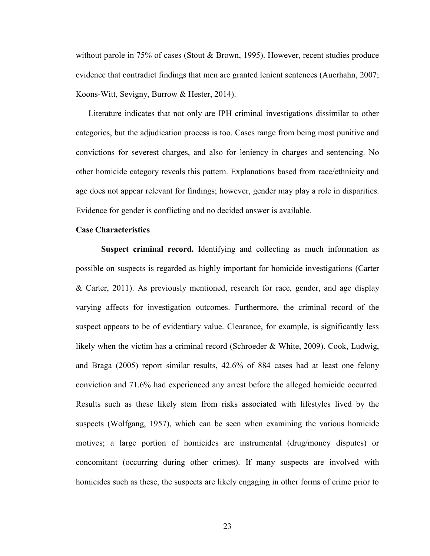without parole in 75% of cases (Stout & Brown, 1995). However, recent studies produce evidence that contradict findings that men are granted lenient sentences (Auerhahn, 2007; Koons-Witt, Sevigny, Burrow & Hester, 2014).

Literature indicates that not only are IPH criminal investigations dissimilar to other categories, but the adjudication process is too. Cases range from being most punitive and convictions for severest charges, and also for leniency in charges and sentencing. No other homicide category reveals this pattern. Explanations based from race/ethnicity and age does not appear relevant for findings; however, gender may play a role in disparities. Evidence for gender is conflicting and no decided answer is available.

### **Case Characteristics**

**Suspect criminal record.** Identifying and collecting as much information as possible on suspects is regarded as highly important for homicide investigations (Carter & Carter, 2011). As previously mentioned, research for race, gender, and age display varying affects for investigation outcomes. Furthermore, the criminal record of the suspect appears to be of evidentiary value. Clearance, for example, is significantly less likely when the victim has a criminal record (Schroeder & White, 2009). Cook, Ludwig, and Braga (2005) report similar results, 42.6% of 884 cases had at least one felony conviction and 71.6% had experienced any arrest before the alleged homicide occurred. Results such as these likely stem from risks associated with lifestyles lived by the suspects (Wolfgang, 1957), which can be seen when examining the various homicide motives; a large portion of homicides are instrumental (drug/money disputes) or concomitant (occurring during other crimes). If many suspects are involved with homicides such as these, the suspects are likely engaging in other forms of crime prior to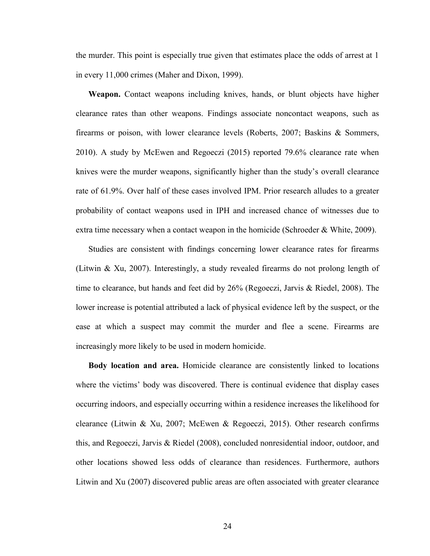the murder. This point is especially true given that estimates place the odds of arrest at 1 in every 11,000 crimes (Maher and Dixon, 1999).

**Weapon.** Contact weapons including knives, hands, or blunt objects have higher clearance rates than other weapons. Findings associate noncontact weapons, such as firearms or poison, with lower clearance levels (Roberts, 2007; Baskins & Sommers, 2010). A study by McEwen and Regoeczi (2015) reported 79.6% clearance rate when knives were the murder weapons, significantly higher than the study's overall clearance rate of 61.9%. Over half of these cases involved IPM. Prior research alludes to a greater probability of contact weapons used in IPH and increased chance of witnesses due to extra time necessary when a contact weapon in the homicide (Schroeder  $\&$  White, 2009).

Studies are consistent with findings concerning lower clearance rates for firearms (Litwin & Xu, 2007). Interestingly, a study revealed firearms do not prolong length of time to clearance, but hands and feet did by 26% (Regoeczi, Jarvis & Riedel, 2008). The lower increase is potential attributed a lack of physical evidence left by the suspect, or the ease at which a suspect may commit the murder and flee a scene. Firearms are increasingly more likely to be used in modern homicide.

**Body location and area.** Homicide clearance are consistently linked to locations where the victims' body was discovered. There is continual evidence that display cases occurring indoors, and especially occurring within a residence increases the likelihood for clearance (Litwin & Xu, 2007; McEwen & Regoeczi, 2015). Other research confirms this, and Regoeczi, Jarvis & Riedel (2008), concluded nonresidential indoor, outdoor, and other locations showed less odds of clearance than residences. Furthermore, authors Litwin and Xu (2007) discovered public areas are often associated with greater clearance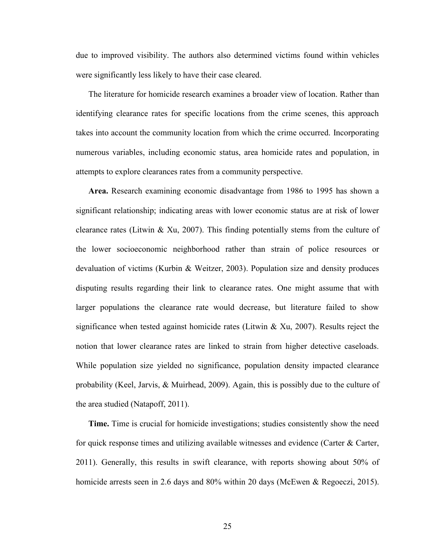due to improved visibility. The authors also determined victims found within vehicles were significantly less likely to have their case cleared.

The literature for homicide research examines a broader view of location. Rather than identifying clearance rates for specific locations from the crime scenes, this approach takes into account the community location from which the crime occurred. Incorporating numerous variables, including economic status, area homicide rates and population, in attempts to explore clearances rates from a community perspective.

**Area.** Research examining economic disadvantage from 1986 to 1995 has shown a significant relationship; indicating areas with lower economic status are at risk of lower clearance rates (Litwin & Xu, 2007). This finding potentially stems from the culture of the lower socioeconomic neighborhood rather than strain of police resources or devaluation of victims (Kurbin & Weitzer, 2003). Population size and density produces disputing results regarding their link to clearance rates. One might assume that with larger populations the clearance rate would decrease, but literature failed to show significance when tested against homicide rates (Litwin  $\&$  Xu, 2007). Results reject the notion that lower clearance rates are linked to strain from higher detective caseloads. While population size yielded no significance, population density impacted clearance probability (Keel, Jarvis, & Muirhead, 2009). Again, this is possibly due to the culture of the area studied (Natapoff, 2011).

**Time.** Time is crucial for homicide investigations; studies consistently show the need for quick response times and utilizing available witnesses and evidence (Carter  $\&$  Carter, 2011). Generally, this results in swift clearance, with reports showing about 50% of homicide arrests seen in 2.6 days and 80% within 20 days (McEwen & Regoeczi, 2015).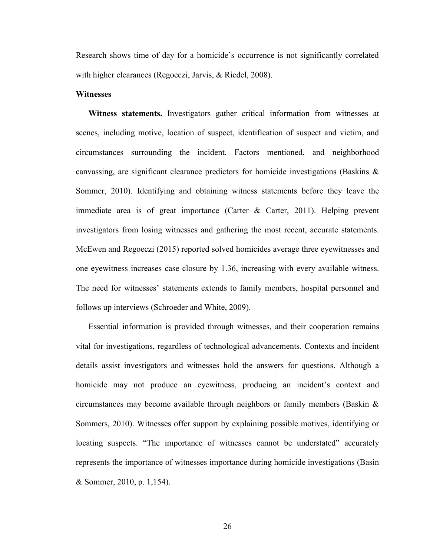Research shows time of day for a homicide's occurrence is not significantly correlated with higher clearances (Regoeczi, Jarvis, & Riedel, 2008).

### **Witnesses**

**Witness statements.** Investigators gather critical information from witnesses at scenes, including motive, location of suspect, identification of suspect and victim, and circumstances surrounding the incident. Factors mentioned, and neighborhood canvassing, are significant clearance predictors for homicide investigations (Baskins & Sommer, 2010). Identifying and obtaining witness statements before they leave the immediate area is of great importance (Carter & Carter, 2011). Helping prevent investigators from losing witnesses and gathering the most recent, accurate statements. McEwen and Regoeczi (2015) reported solved homicides average three eyewitnesses and one eyewitness increases case closure by 1.36, increasing with every available witness. The need for witnesses' statements extends to family members, hospital personnel and follows up interviews (Schroeder and White, 2009).

Essential information is provided through witnesses, and their cooperation remains vital for investigations, regardless of technological advancements. Contexts and incident details assist investigators and witnesses hold the answers for questions. Although a homicide may not produce an eyewitness, producing an incident's context and circumstances may become available through neighbors or family members (Baskin  $\&$ Sommers, 2010). Witnesses offer support by explaining possible motives, identifying or locating suspects. "The importance of witnesses cannot be understated" accurately represents the importance of witnesses importance during homicide investigations (Basin & Sommer, 2010, p. 1,154).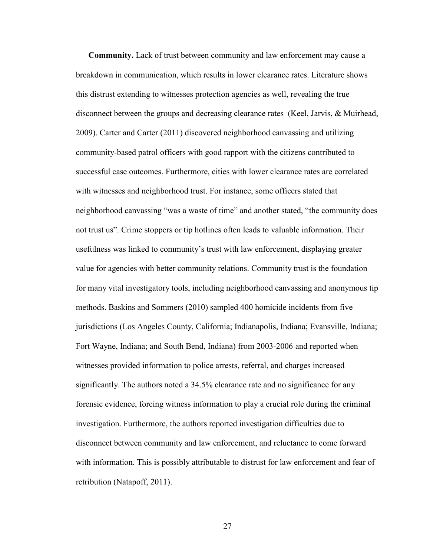**Community.** Lack of trust between community and law enforcement may cause a breakdown in communication, which results in lower clearance rates. Literature shows this distrust extending to witnesses protection agencies as well, revealing the true disconnect between the groups and decreasing clearance rates (Keel, Jarvis, & Muirhead, 2009). Carter and Carter (2011) discovered neighborhood canvassing and utilizing community-based patrol officers with good rapport with the citizens contributed to successful case outcomes. Furthermore, cities with lower clearance rates are correlated with witnesses and neighborhood trust. For instance, some officers stated that neighborhood canvassing "was a waste of time" and another stated, "the community does not trust us". Crime stoppers or tip hotlines often leads to valuable information. Their usefulness was linked to community's trust with law enforcement, displaying greater value for agencies with better community relations. Community trust is the foundation for many vital investigatory tools, including neighborhood canvassing and anonymous tip methods. Baskins and Sommers (2010) sampled 400 homicide incidents from five jurisdictions (Los Angeles County, California; Indianapolis, Indiana; Evansville, Indiana; Fort Wayne, Indiana; and South Bend, Indiana) from 2003-2006 and reported when witnesses provided information to police arrests, referral, and charges increased significantly. The authors noted a 34.5% clearance rate and no significance for any forensic evidence, forcing witness information to play a crucial role during the criminal investigation. Furthermore, the authors reported investigation difficulties due to disconnect between community and law enforcement, and reluctance to come forward with information. This is possibly attributable to distrust for law enforcement and fear of retribution (Natapoff, 2011).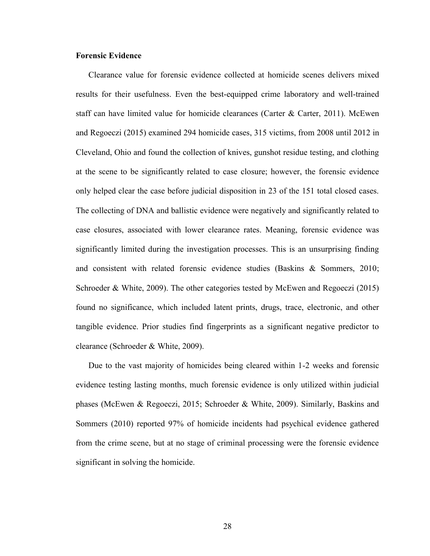# **Forensic Evidence**

Clearance value for forensic evidence collected at homicide scenes delivers mixed results for their usefulness. Even the best-equipped crime laboratory and well-trained staff can have limited value for homicide clearances (Carter & Carter, 2011). McEwen and Regoeczi (2015) examined 294 homicide cases, 315 victims, from 2008 until 2012 in Cleveland, Ohio and found the collection of knives, gunshot residue testing, and clothing at the scene to be significantly related to case closure; however, the forensic evidence only helped clear the case before judicial disposition in 23 of the 151 total closed cases. The collecting of DNA and ballistic evidence were negatively and significantly related to case closures, associated with lower clearance rates. Meaning, forensic evidence was significantly limited during the investigation processes. This is an unsurprising finding and consistent with related forensic evidence studies (Baskins & Sommers, 2010; Schroeder & White, 2009). The other categories tested by McEwen and Regoeczi (2015) found no significance, which included latent prints, drugs, trace, electronic, and other tangible evidence. Prior studies find fingerprints as a significant negative predictor to clearance (Schroeder & White, 2009).

Due to the vast majority of homicides being cleared within 1-2 weeks and forensic evidence testing lasting months, much forensic evidence is only utilized within judicial phases (McEwen & Regoeczi, 2015; Schroeder & White, 2009). Similarly, Baskins and Sommers (2010) reported 97% of homicide incidents had psychical evidence gathered from the crime scene, but at no stage of criminal processing were the forensic evidence significant in solving the homicide.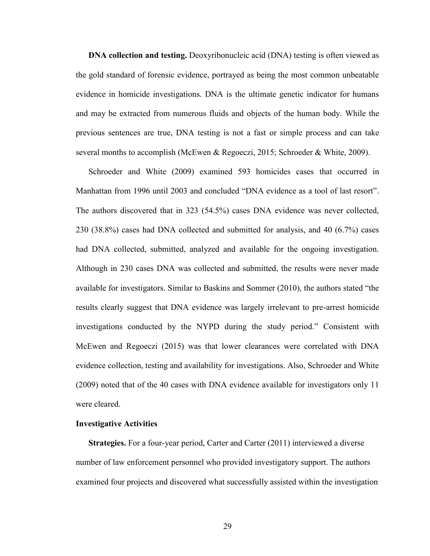**DNA** collection and testing. Deoxyribonucleic acid (DNA) testing is often viewed as the gold standard of forensic evidence, portrayed as being the most common unbeatable evidence in homicide investigations. DNA is the ultimate genetic indicator for humans and may be extracted from numerous fluids and objects of the human body. While the previous sentences are true, DNA testing is not a fast or simple process and can take several months to accomplish (McEwen & Regoeczi, 2015; Schroeder & White, 2009).

Schroeder and White (2009) examined 593 homicides cases that occurred in Manhattan from 1996 until 2003 and concluded "DNA evidence as a tool of last resort". The authors discovered that in 323 (54.5%) cases DNA evidence was never collected, 230 (38.8%) cases had DNA collected and submitted for analysis, and 40 (6.7%) cases had DNA collected, submitted, analyzed and available for the ongoing investigation. Although in 230 cases DNA was collected and submitted, the results were never made available for investigators. Similar to Baskins and Sommer (2010), the authors stated "the results clearly suggest that DNA evidence was largely irrelevant to pre-arrest homicide investigations conducted by the NYPD during the study period." Consistent with McEwen and Regoeczi (2015) was that lower clearances were correlated with DNA evidence collection, testing and availability for investigations. Also, Schroeder and White (2009) noted that of the 40 cases with DNA evidence available for investigators only 11 were cleared.

## **Investigative Activities**

**Strategies.** For a four-year period, Carter and Carter (2011) interviewed a diverse number of law enforcement personnel who provided investigatory support. The authors examined four projects and discovered what successfully assisted within the investigation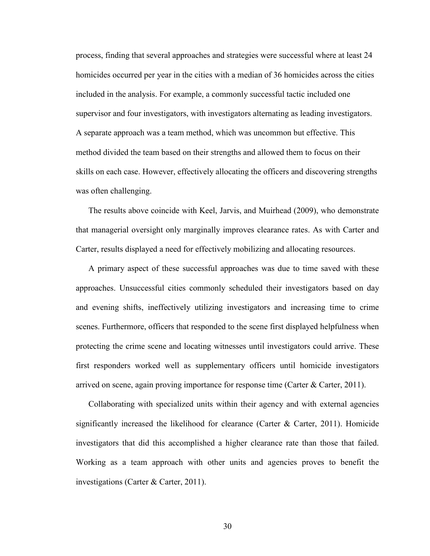process, finding that several approaches and strategies were successful where at least 24 homicides occurred per year in the cities with a median of 36 homicides across the cities included in the analysis. For example, a commonly successful tactic included one supervisor and four investigators, with investigators alternating as leading investigators. A separate approach was a team method, which was uncommon but effective. This method divided the team based on their strengths and allowed them to focus on their skills on each case. However, effectively allocating the officers and discovering strengths was often challenging.

The results above coincide with Keel, Jarvis, and Muirhead (2009), who demonstrate that managerial oversight only marginally improves clearance rates. As with Carter and Carter, results displayed a need for effectively mobilizing and allocating resources.

A primary aspect of these successful approaches was due to time saved with these approaches. Unsuccessful cities commonly scheduled their investigators based on day and evening shifts, ineffectively utilizing investigators and increasing time to crime scenes. Furthermore, officers that responded to the scene first displayed helpfulness when protecting the crime scene and locating witnesses until investigators could arrive. These first responders worked well as supplementary officers until homicide investigators arrived on scene, again proving importance for response time (Carter & Carter, 2011).

Collaborating with specialized units within their agency and with external agencies significantly increased the likelihood for clearance (Carter  $\&$  Carter, 2011). Homicide investigators that did this accomplished a higher clearance rate than those that failed. Working as a team approach with other units and agencies proves to benefit the investigations (Carter & Carter, 2011).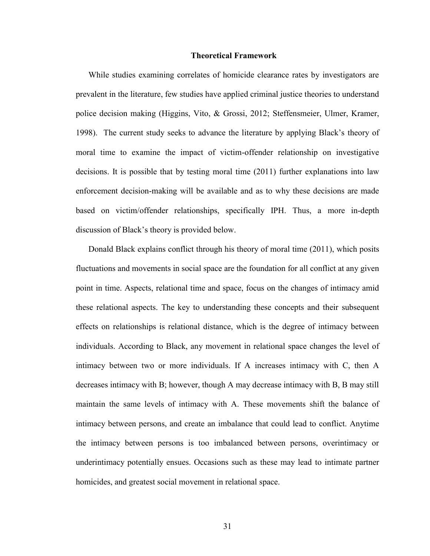### **Theoretical Framework**

While studies examining correlates of homicide clearance rates by investigators are prevalent in the literature, few studies have applied criminal justice theories to understand police decision making (Higgins, Vito, & Grossi, 2012; Steffensmeier, Ulmer, Kramer, 1998). The current study seeks to advance the literature by applying Black's theory of moral time to examine the impact of victim-offender relationship on investigative decisions. It is possible that by testing moral time (2011) further explanations into law enforcement decision-making will be available and as to why these decisions are made based on victim/offender relationships, specifically IPH. Thus, a more in-depth discussion of Black's theory is provided below.

Donald Black explains conflict through his theory of moral time (2011), which posits fluctuations and movements in social space are the foundation for all conflict at any given point in time. Aspects, relational time and space, focus on the changes of intimacy amid these relational aspects. The key to understanding these concepts and their subsequent effects on relationships is relational distance, which is the degree of intimacy between individuals. According to Black, any movement in relational space changes the level of intimacy between two or more individuals. If A increases intimacy with C, then A decreases intimacy with B; however, though A may decrease intimacy with B, B may still maintain the same levels of intimacy with A. These movements shift the balance of intimacy between persons, and create an imbalance that could lead to conflict. Anytime the intimacy between persons is too imbalanced between persons, overintimacy or underintimacy potentially ensues. Occasions such as these may lead to intimate partner homicides, and greatest social movement in relational space.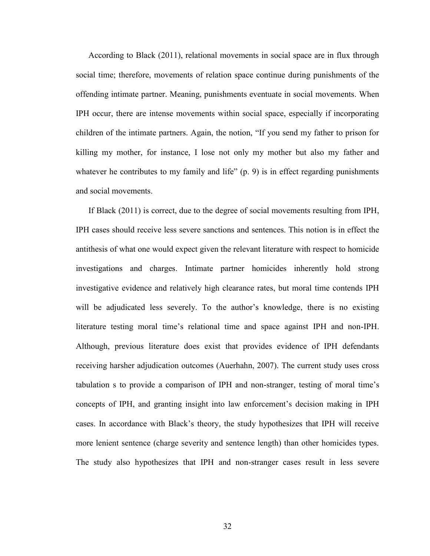According to Black (2011), relational movements in social space are in flux through social time; therefore, movements of relation space continue during punishments of the offending intimate partner. Meaning, punishments eventuate in social movements. When IPH occur, there are intense movements within social space, especially if incorporating children of the intimate partners. Again, the notion, "If you send my father to prison for killing my mother, for instance, I lose not only my mother but also my father and whatever he contributes to my family and life" (p. 9) is in effect regarding punishments and social movements.

If Black (2011) is correct, due to the degree of social movements resulting from IPH, IPH cases should receive less severe sanctions and sentences. This notion is in effect the antithesis of what one would expect given the relevant literature with respect to homicide investigations and charges. Intimate partner homicides inherently hold strong investigative evidence and relatively high clearance rates, but moral time contends IPH will be adjudicated less severely. To the author's knowledge, there is no existing literature testing moral time's relational time and space against IPH and non-IPH. Although, previous literature does exist that provides evidence of IPH defendants receiving harsher adjudication outcomes (Auerhahn, 2007). The current study uses cross tabulation s to provide a comparison of IPH and non-stranger, testing of moral time's concepts of IPH, and granting insight into law enforcement's decision making in IPH cases. In accordance with Black's theory, the study hypothesizes that IPH will receive more lenient sentence (charge severity and sentence length) than other homicides types. The study also hypothesizes that IPH and non-stranger cases result in less severe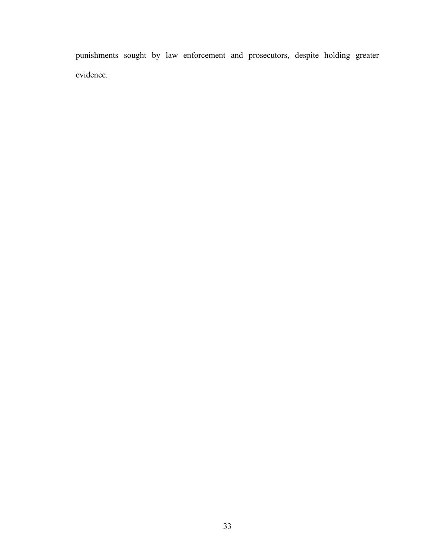punishments sought by law enforcement and prosecutors, despite holding greater evidence.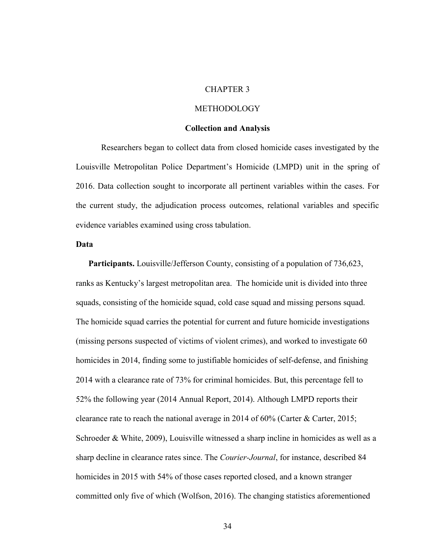#### CHAPTER 3

## METHODOLOGY

## **Collection and Analysis**

Researchers began to collect data from closed homicide cases investigated by the Louisville Metropolitan Police Department's Homicide (LMPD) unit in the spring of 2016. Data collection sought to incorporate all pertinent variables within the cases. For the current study, the adjudication process outcomes, relational variables and specific evidence variables examined using cross tabulation.

## **Data**

Participants. Louisville/Jefferson County, consisting of a population of 736,623, ranks as Kentucky's largest metropolitan area. The homicide unit is divided into three squads, consisting of the homicide squad, cold case squad and missing persons squad. The homicide squad carries the potential for current and future homicide investigations (missing persons suspected of victims of violent crimes), and worked to investigate 60 homicides in 2014, finding some to justifiable homicides of self-defense, and finishing 2014 with a clearance rate of 73% for criminal homicides. But, this percentage fell to 52% the following year (2014 Annual Report, 2014). Although LMPD reports their clearance rate to reach the national average in 2014 of 60% (Carter & Carter, 2015; Schroeder & White, 2009), Louisville witnessed a sharp incline in homicides as well as a sharp decline in clearance rates since. The *Courier-Journal*, for instance, described 84 homicides in 2015 with 54% of those cases reported closed, and a known stranger committed only five of which (Wolfson, 2016). The changing statistics aforementioned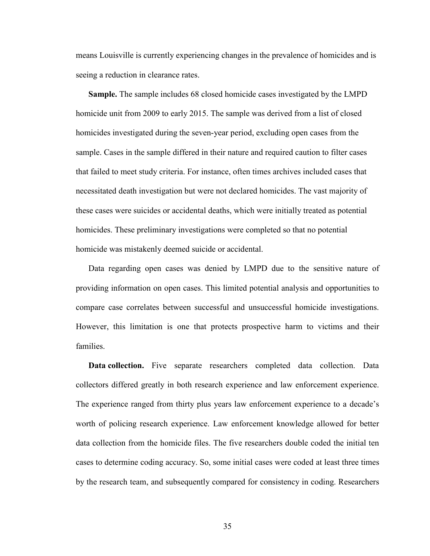means Louisville is currently experiencing changes in the prevalence of homicides and is seeing a reduction in clearance rates.

**Sample.** The sample includes 68 closed homicide cases investigated by the LMPD homicide unit from 2009 to early 2015. The sample was derived from a list of closed homicides investigated during the seven-year period, excluding open cases from the sample. Cases in the sample differed in their nature and required caution to filter cases that failed to meet study criteria. For instance, often times archives included cases that necessitated death investigation but were not declared homicides. The vast majority of these cases were suicides or accidental deaths, which were initially treated as potential homicides. These preliminary investigations were completed so that no potential homicide was mistakenly deemed suicide or accidental.

Data regarding open cases was denied by LMPD due to the sensitive nature of providing information on open cases. This limited potential analysis and opportunities to compare case correlates between successful and unsuccessful homicide investigations. However, this limitation is one that protects prospective harm to victims and their families.

**Data collection.** Five separate researchers completed data collection. Data collectors differed greatly in both research experience and law enforcement experience. The experience ranged from thirty plus years law enforcement experience to a decade's worth of policing research experience. Law enforcement knowledge allowed for better data collection from the homicide files. The five researchers double coded the initial ten cases to determine coding accuracy. So, some initial cases were coded at least three times by the research team, and subsequently compared for consistency in coding. Researchers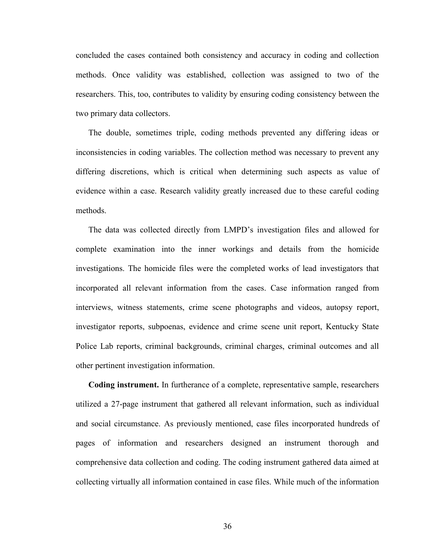concluded the cases contained both consistency and accuracy in coding and collection methods. Once validity was established, collection was assigned to two of the researchers. This, too, contributes to validity by ensuring coding consistency between the two primary data collectors.

The double, sometimes triple, coding methods prevented any differing ideas or inconsistencies in coding variables. The collection method was necessary to prevent any differing discretions, which is critical when determining such aspects as value of evidence within a case. Research validity greatly increased due to these careful coding methods.

The data was collected directly from LMPD's investigation files and allowed for complete examination into the inner workings and details from the homicide investigations. The homicide files were the completed works of lead investigators that incorporated all relevant information from the cases. Case information ranged from interviews, witness statements, crime scene photographs and videos, autopsy report, investigator reports, subpoenas, evidence and crime scene unit report, Kentucky State Police Lab reports, criminal backgrounds, criminal charges, criminal outcomes and all other pertinent investigation information.

**Coding instrument.** In furtherance of a complete, representative sample, researchers utilized a 27-page instrument that gathered all relevant information, such as individual and social circumstance. As previously mentioned, case files incorporated hundreds of pages of information and researchers designed an instrument thorough and comprehensive data collection and coding. The coding instrument gathered data aimed at collecting virtually all information contained in case files. While much of the information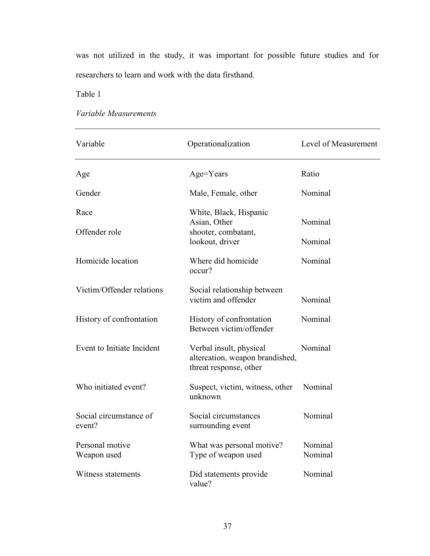was not utilized in the study, it was important for possible future studies and for researchers to learn and work with the data firsthand.

Table 1

*Variable Measurements*

| Variable                         | Operationalization                                                                   | Level of Measurement |
|----------------------------------|--------------------------------------------------------------------------------------|----------------------|
| Age                              | Age=Years                                                                            | Ratio                |
| Gender                           | Male, Female, other                                                                  | Nominal              |
| Race                             | White, Black, Hispanic<br>Asian, Other                                               | Nominal              |
| Offender role                    | shooter, combatant,<br>lookout, driver                                               | Nominal              |
| Homicide location                | Where did homicide<br>occur?                                                         | Nominal              |
| Victim/Offender relations        | Social relationship between<br>victim and offender                                   | Nominal              |
| History of confrontation         | History of confrontation<br>Between victim/offender                                  | Nominal              |
| Event to Initiate Incident       | Verbal insult, physical<br>altercation, weapon brandished,<br>threat response, other | Nominal              |
| Who initiated event?             | Suspect, victim, witness, other<br>unknown                                           | Nominal              |
| Social circumstance of<br>event? | Social circumstances<br>surrounding event                                            | Nominal              |
| Personal motive<br>Weapon used   | What was personal motive?<br>Type of weapon used                                     | Nominal<br>Nominal   |
| Witness statements               | Did statements provide<br>value?                                                     | Nominal              |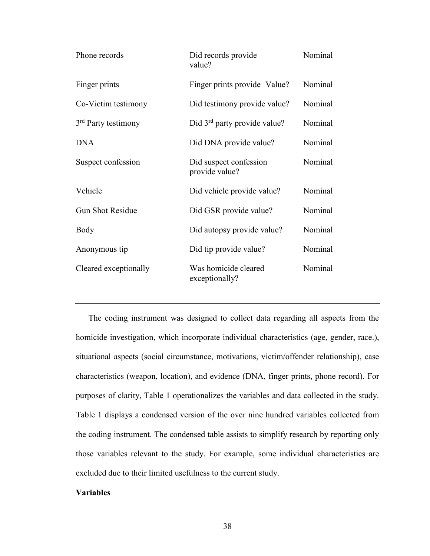| Phone records                   | Did records provide<br>value?            | Nominal |
|---------------------------------|------------------------------------------|---------|
| Finger prints                   | Finger prints provide Value?             | Nominal |
| Co-Victim testimony             | Did testimony provide value?             | Nominal |
| 3 <sup>rd</sup> Party testimony | Did $3rd$ party provide value?           | Nominal |
| <b>DNA</b>                      | Did DNA provide value?                   | Nominal |
| Suspect confession              | Did suspect confession<br>provide value? | Nominal |
| Vehicle                         | Did vehicle provide value?               | Nominal |
| <b>Gun Shot Residue</b>         | Did GSR provide value?                   | Nominal |
| Body                            | Did autopsy provide value?               | Nominal |
| Anonymous tip                   | Did tip provide value?                   | Nominal |
| Cleared exceptionally           | Was homicide cleared<br>exceptionally?   | Nominal |

The coding instrument was designed to collect data regarding all aspects from the homicide investigation, which incorporate individual characteristics (age, gender, race.), situational aspects (social circumstance, motivations, victim/offender relationship), case characteristics (weapon, location), and evidence (DNA, finger prints, phone record). For purposes of clarity, Table 1 operationalizes the variables and data collected in the study. Table 1 displays a condensed version of the over nine hundred variables collected from the coding instrument. The condensed table assists to simplify research by reporting only those variables relevant to the study. For example, some individual characteristics are excluded due to their limited usefulness to the current study.

# **Variables**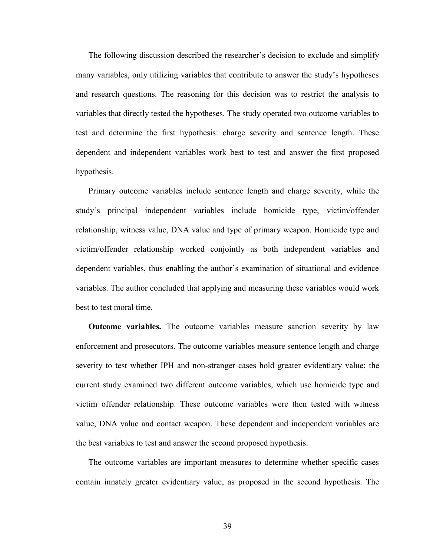The following discussion described the researcher's decision to exclude and simplify many variables, only utilizing variables that contribute to answer the study's hypotheses and research questions. The reasoning for this decision was to restrict the analysis to variables that directly tested the hypotheses. The study operated two outcome variables to test and determine the first hypothesis: charge severity and sentence length. These dependent and independent variables work best to test and answer the first proposed hypothesis.

Primary outcome variables include sentence length and charge severity, while the study's principal independent variables include homicide type, victim/offender relationship, witness value, DNA value and type of primary weapon. Homicide type and victim/offender relationship worked conjointly as both independent variables and dependent variables, thus enabling the author's examination of situational and evidence variables. The author concluded that applying and measuring these variables would work best to test moral time.

**Outcome variables.** The outcome variables measure sanction severity by law enforcement and prosecutors. The outcome variables measure sentence length and charge severity to test whether IPH and non-stranger cases hold greater evidentiary value; the current study examined two different outcome variables, which use homicide type and victim offender relationship. These outcome variables were then tested with witness value, DNA value and contact weapon. These dependent and independent variables are the best variables to test and answer the second proposed hypothesis.

The outcome variables are important measures to determine whether specific cases contain innately greater evidentiary value, as proposed in the second hypothesis. The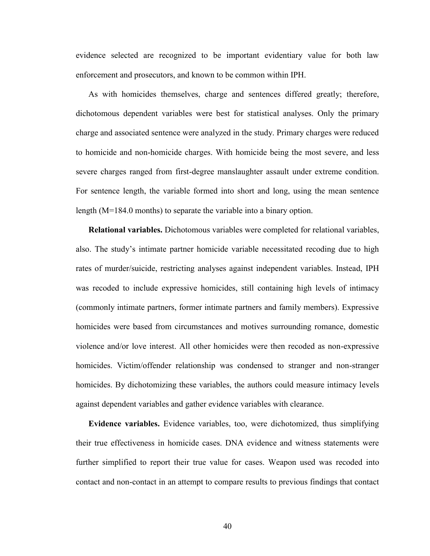evidence selected are recognized to be important evidentiary value for both law enforcement and prosecutors, and known to be common within IPH.

As with homicides themselves, charge and sentences differed greatly; therefore, dichotomous dependent variables were best for statistical analyses. Only the primary charge and associated sentence were analyzed in the study. Primary charges were reduced to homicide and non-homicide charges. With homicide being the most severe, and less severe charges ranged from first-degree manslaughter assault under extreme condition. For sentence length, the variable formed into short and long, using the mean sentence length (M=184.0 months) to separate the variable into a binary option.

**Relational variables.** Dichotomous variables were completed for relational variables, also. The study's intimate partner homicide variable necessitated recoding due to high rates of murder/suicide, restricting analyses against independent variables. Instead, IPH was recoded to include expressive homicides, still containing high levels of intimacy (commonly intimate partners, former intimate partners and family members). Expressive homicides were based from circumstances and motives surrounding romance, domestic violence and/or love interest. All other homicides were then recoded as non-expressive homicides. Victim/offender relationship was condensed to stranger and non-stranger homicides. By dichotomizing these variables, the authors could measure intimacy levels against dependent variables and gather evidence variables with clearance.

**Evidence variables.** Evidence variables, too, were dichotomized, thus simplifying their true effectiveness in homicide cases. DNA evidence and witness statements were further simplified to report their true value for cases. Weapon used was recoded into contact and non-contact in an attempt to compare results to previous findings that contact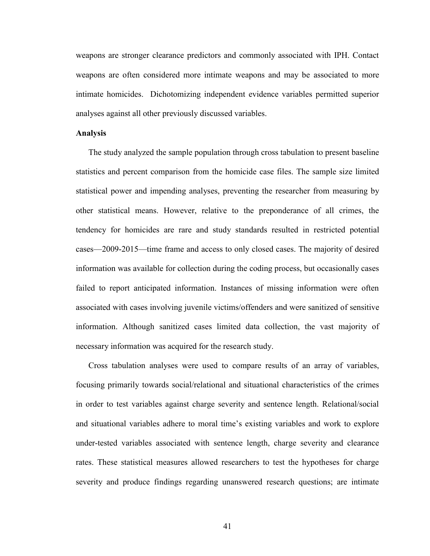weapons are stronger clearance predictors and commonly associated with IPH. Contact weapons are often considered more intimate weapons and may be associated to more intimate homicides. Dichotomizing independent evidence variables permitted superior analyses against all other previously discussed variables.

### **Analysis**

The study analyzed the sample population through cross tabulation to present baseline statistics and percent comparison from the homicide case files. The sample size limited statistical power and impending analyses, preventing the researcher from measuring by other statistical means. However, relative to the preponderance of all crimes, the tendency for homicides are rare and study standards resulted in restricted potential cases—2009-2015—time frame and access to only closed cases. The majority of desired information was available for collection during the coding process, but occasionally cases failed to report anticipated information. Instances of missing information were often associated with cases involving juvenile victims/offenders and were sanitized of sensitive information. Although sanitized cases limited data collection, the vast majority of necessary information was acquired for the research study.

Cross tabulation analyses were used to compare results of an array of variables, focusing primarily towards social/relational and situational characteristics of the crimes in order to test variables against charge severity and sentence length. Relational/social and situational variables adhere to moral time's existing variables and work to explore under-tested variables associated with sentence length, charge severity and clearance rates. These statistical measures allowed researchers to test the hypotheses for charge severity and produce findings regarding unanswered research questions; are intimate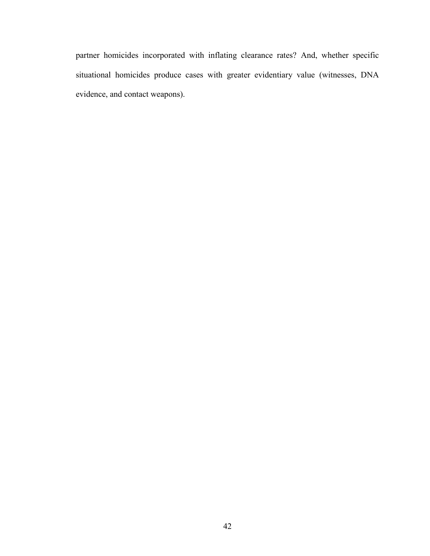partner homicides incorporated with inflating clearance rates? And, whether specific situational homicides produce cases with greater evidentiary value (witnesses, DNA evidence, and contact weapons).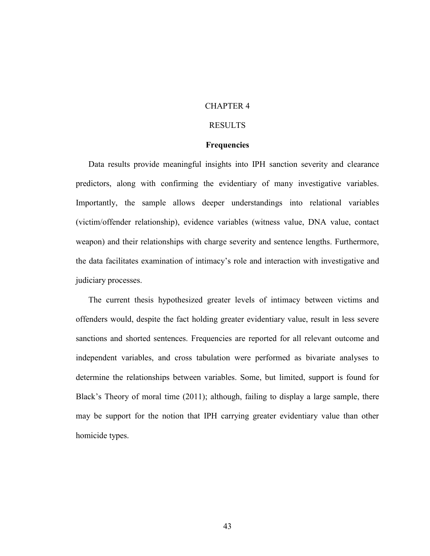# CHAPTER 4

# RESULTS

#### **Frequencies**

Data results provide meaningful insights into IPH sanction severity and clearance predictors, along with confirming the evidentiary of many investigative variables. Importantly, the sample allows deeper understandings into relational variables (victim/offender relationship), evidence variables (witness value, DNA value, contact weapon) and their relationships with charge severity and sentence lengths. Furthermore, the data facilitates examination of intimacy's role and interaction with investigative and judiciary processes.

The current thesis hypothesized greater levels of intimacy between victims and offenders would, despite the fact holding greater evidentiary value, result in less severe sanctions and shorted sentences. Frequencies are reported for all relevant outcome and independent variables, and cross tabulation were performed as bivariate analyses to determine the relationships between variables. Some, but limited, support is found for Black's Theory of moral time (2011); although, failing to display a large sample, there may be support for the notion that IPH carrying greater evidentiary value than other homicide types.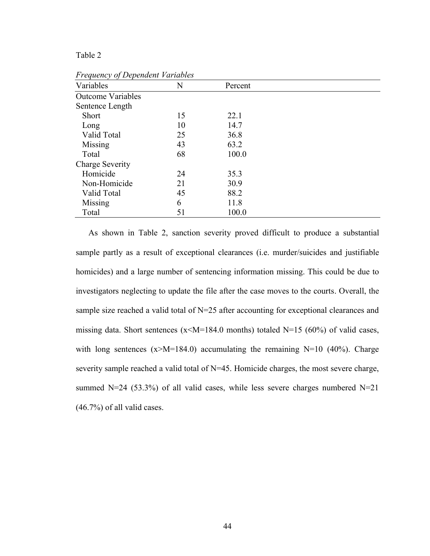# Table 2

| Variables                | N  | Percent |  |
|--------------------------|----|---------|--|
| <b>Outcome Variables</b> |    |         |  |
| Sentence Length          |    |         |  |
| Short                    | 15 | 22.1    |  |
| Long                     | 10 | 14.7    |  |
| Valid Total              | 25 | 36.8    |  |
| Missing                  | 43 | 63.2    |  |
| Total                    | 68 | 100.0   |  |
| Charge Severity          |    |         |  |
| Homicide                 | 24 | 35.3    |  |
| Non-Homicide             | 21 | 30.9    |  |
| Valid Total              | 45 | 88.2    |  |
| Missing                  | 6  | 11.8    |  |
| Total                    | 51 | 100.0   |  |
|                          |    |         |  |

*Frequency of Dependent Variables* 

As shown in Table 2, sanction severity proved difficult to produce a substantial sample partly as a result of exceptional clearances (i.e. murder/suicides and justifiable homicides) and a large number of sentencing information missing. This could be due to investigators neglecting to update the file after the case moves to the courts. Overall, the sample size reached a valid total of N=25 after accounting for exceptional clearances and missing data. Short sentences ( $x \le M = 184.0$  months) totaled N=15 (60%) of valid cases, with long sentences  $(x>M=184.0)$  accumulating the remaining N=10 (40%). Charge severity sample reached a valid total of N=45. Homicide charges, the most severe charge, summed N=24 (53.3%) of all valid cases, while less severe charges numbered N=21 (46.7%) of all valid cases.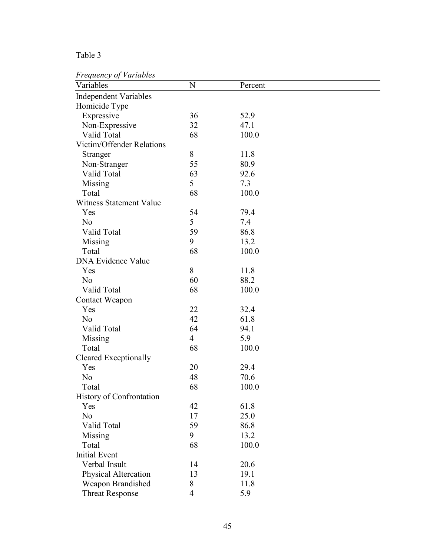# Table 3

# *Frequency of Variables*

| $\boldsymbol{\mathcal{J}}$<br>Variables | N              | Percent |  |
|-----------------------------------------|----------------|---------|--|
| <b>Independent Variables</b>            |                |         |  |
| Homicide Type                           |                |         |  |
| Expressive                              | 36             | 52.9    |  |
| Non-Expressive                          | 32             | 47.1    |  |
| Valid Total                             | 68             | 100.0   |  |
| Victim/Offender Relations               |                |         |  |
| Stranger                                | 8              | 11.8    |  |
| Non-Stranger                            | 55             | 80.9    |  |
| Valid Total                             | 63             | 92.6    |  |
| Missing                                 | 5              | 7.3     |  |
| Total                                   | 68             | 100.0   |  |
| <b>Witness Statement Value</b>          |                |         |  |
| Yes                                     | 54             | 79.4    |  |
| N <sub>o</sub>                          | 5              | 7.4     |  |
| Valid Total                             | 59             | 86.8    |  |
| Missing                                 | 9              | 13.2    |  |
| Total                                   | 68             | 100.0   |  |
| <b>DNA Evidence Value</b>               |                |         |  |
| Yes                                     | 8              | 11.8    |  |
| N <sub>o</sub>                          | 60             | 88.2    |  |
| Valid Total                             | 68             | 100.0   |  |
| Contact Weapon                          |                |         |  |
| Yes                                     | 22             | 32.4    |  |
| N <sub>0</sub>                          | 42             | 61.8    |  |
| Valid Total                             | 64             | 94.1    |  |
| Missing                                 | $\overline{4}$ | 5.9     |  |
| Total                                   | 68             | 100.0   |  |
| Cleared Exceptionally                   |                |         |  |
| Yes                                     | 20             | 29.4    |  |
| N <sub>0</sub>                          | 48             | 70.6    |  |
| Total                                   | 68             | 100.0   |  |
| <b>History of Confrontation</b>         |                |         |  |
| Yes                                     | 42             | 61.8    |  |
| N <sub>o</sub>                          | 17             | 25.0    |  |
| Valid Total                             | 59             | 86.8    |  |
| Missing                                 | 9              | 13.2    |  |
| Total                                   | 68             | 100.0   |  |
| <b>Initial Event</b>                    |                |         |  |
| Verbal Insult                           | 14             | 20.6    |  |
| Physical Altercation                    | 13             | 19.1    |  |
| Weapon Brandished                       | 8              | 11.8    |  |
| <b>Threat Response</b>                  | $\overline{4}$ | 5.9     |  |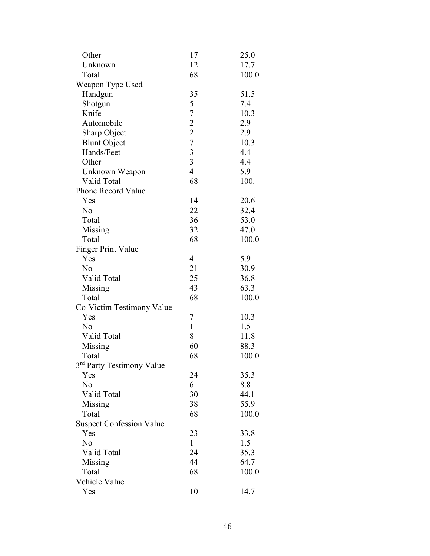| Other                                 | 17                                         | 25.0  |
|---------------------------------------|--------------------------------------------|-------|
| Unknown                               | 12                                         | 17.7  |
| Total                                 | 68                                         | 100.0 |
| Weapon Type Used                      |                                            |       |
| Handgun                               | 35                                         | 51.5  |
| Shotgun                               | 5                                          | 7.4   |
| Knife                                 | $\overline{7}$                             | 10.3  |
| Automobile                            |                                            | 2.9   |
| Sharp Object                          |                                            | 2.9   |
| <b>Blunt Object</b>                   | $\begin{array}{c} 2 \\ 2 \\ 7 \end{array}$ | 10.3  |
| Hands/Feet                            | $\overline{3}$                             | 4.4   |
| Other                                 | $\overline{3}$                             | 4.4   |
| Unknown Weapon                        | $\overline{4}$                             | 5.9   |
| Valid Total                           | 68                                         | 100.  |
| <b>Phone Record Value</b>             |                                            |       |
| Yes                                   | 14                                         | 20.6  |
| N <sub>o</sub>                        | 22                                         | 32.4  |
| Total                                 | 36                                         | 53.0  |
| Missing                               | 32                                         | 47.0  |
| Total                                 | 68                                         | 100.0 |
| <b>Finger Print Value</b>             |                                            |       |
| Yes                                   | $\overline{4}$                             | 5.9   |
| N <sub>o</sub>                        | 21                                         | 30.9  |
| Valid Total                           | 25                                         | 36.8  |
| Missing                               | 43                                         | 63.3  |
| Total                                 | 68                                         | 100.0 |
| Co-Victim Testimony Value             |                                            |       |
| Yes                                   | 7                                          | 10.3  |
| N <sub>o</sub>                        | $\mathbf{1}$                               | 1.5   |
| Valid Total                           | 8                                          | 11.8  |
| Missing                               | 60                                         | 88.3  |
| Total                                 | 68                                         | 100.0 |
| 3 <sup>rd</sup> Party Testimony Value |                                            |       |
| Yes                                   | 24                                         | 35.3  |
| N <sub>o</sub>                        | 6                                          | 8.8   |
| Valid Total                           | 30                                         | 44.1  |
| Missing                               | 38                                         | 55.9  |
| Total                                 | 68                                         | 100.0 |
| <b>Suspect Confession Value</b>       |                                            |       |
| Yes                                   | 23                                         | 33.8  |
| N <sub>o</sub>                        | $\mathbf{1}$                               | 1.5   |
| Valid Total                           | 24                                         | 35.3  |
| Missing                               | 44                                         | 64.7  |
| Total                                 | 68                                         | 100.0 |
| Vehicle Value                         |                                            |       |
| Yes                                   | 10                                         | 14.7  |
|                                       |                                            |       |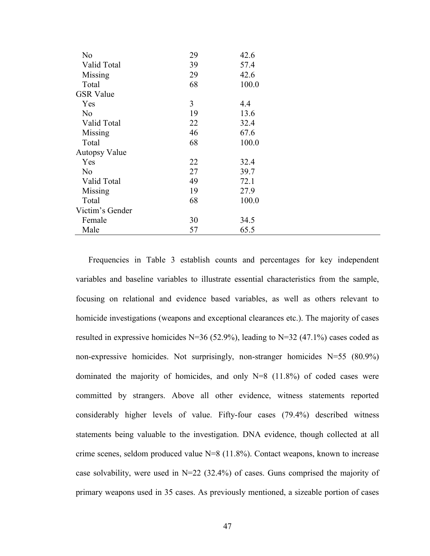| N <sub>o</sub>       | 29 | 42.6  |  |
|----------------------|----|-------|--|
| Valid Total          | 39 | 57.4  |  |
| Missing              | 29 | 42.6  |  |
| Total                | 68 | 100.0 |  |
| <b>GSR</b> Value     |    |       |  |
| Yes                  | 3  | 4.4   |  |
| N <sub>o</sub>       | 19 | 13.6  |  |
| Valid Total          | 22 | 32.4  |  |
| Missing              | 46 | 67.6  |  |
| Total                | 68 | 100.0 |  |
| <b>Autopsy Value</b> |    |       |  |
| Yes                  | 22 | 32.4  |  |
| N <sub>o</sub>       | 27 | 39.7  |  |
| Valid Total          | 49 | 72.1  |  |
| Missing              | 19 | 27.9  |  |
| Total                | 68 | 100.0 |  |
| Victim's Gender      |    |       |  |
| Female               | 30 | 34.5  |  |
| Male                 | 57 | 65.5  |  |

Frequencies in Table 3 establish counts and percentages for key independent variables and baseline variables to illustrate essential characteristics from the sample, focusing on relational and evidence based variables, as well as others relevant to homicide investigations (weapons and exceptional clearances etc.). The majority of cases resulted in expressive homicides  $N=36$  (52.9%), leading to  $N=32$  (47.1%) cases coded as non-expressive homicides. Not surprisingly, non-stranger homicides N=55 (80.9%) dominated the majority of homicides, and only N=8 (11.8%) of coded cases were committed by strangers. Above all other evidence, witness statements reported considerably higher levels of value. Fifty-four cases (79.4%) described witness statements being valuable to the investigation. DNA evidence, though collected at all crime scenes, seldom produced value N=8 (11.8%). Contact weapons, known to increase case solvability, were used in N=22 (32.4%) of cases. Guns comprised the majority of primary weapons used in 35 cases. As previously mentioned, a sizeable portion of cases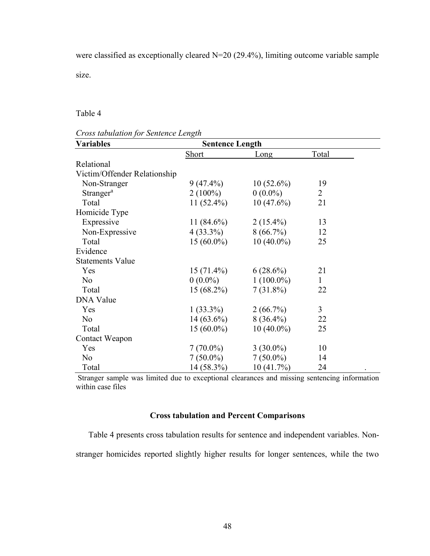were classified as exceptionally cleared N=20 (29.4%), limiting outcome variable sample size.

Table 4

|  | Cross tabulation for Sentence Length |  |
|--|--------------------------------------|--|
|  |                                      |  |

| <b>Variables</b>             | <b>Sentence Length</b> |              |              |  |
|------------------------------|------------------------|--------------|--------------|--|
|                              | Short                  | Long         | Total        |  |
| Relational                   |                        |              |              |  |
| Victim/Offender Relationship |                        |              |              |  |
| Non-Stranger                 | $9(47.4\%)$            | $10(52.6\%)$ | 19           |  |
| Stranger <sup>a</sup>        | $2(100\%)$             | $0(0.0\%)$   | 2            |  |
| Total                        | $11(52.4\%)$           | $10(47.6\%)$ | 21           |  |
| Homicide Type                |                        |              |              |  |
| Expressive                   | $11(84.6\%)$           | $2(15.4\%)$  | 13           |  |
| Non-Expressive               | $4(33.3\%)$            | $8(66.7\%)$  | 12           |  |
| Total                        | $15(60.0\%)$           | $10(40.0\%)$ | 25           |  |
| Evidence                     |                        |              |              |  |
| <b>Statements Value</b>      |                        |              |              |  |
| Yes                          | $15(71.4\%)$           | $6(28.6\%)$  | 21           |  |
| N <sub>0</sub>               | $0(0.0\%)$             | $1(100.0\%)$ | $\mathbf{1}$ |  |
| Total                        | $15(68.2\%)$           | $7(31.8\%)$  | 22           |  |
| <b>DNA Value</b>             |                        |              |              |  |
| Yes                          | $1(33.3\%)$            | $2(66.7\%)$  | 3            |  |
| N <sub>0</sub>               | $14(63.6\%)$           | $8(36.4\%)$  | 22           |  |
| Total                        | $15(60.0\%)$           | $10(40.0\%)$ | 25           |  |
| Contact Weapon               |                        |              |              |  |
| Yes                          | $7(70.0\%)$            | $3(30.0\%)$  | 10           |  |
| N <sub>0</sub>               | $7(50.0\%)$            | $7(50.0\%)$  | 14           |  |
| Total                        | 14 (58.3%)             | 10 (41.7%)   | 24           |  |

Stranger sample was limited due to exceptional clearances and missing sentencing information within case files

# **Cross tabulation and Percent Comparisons**

Table 4 presents cross tabulation results for sentence and independent variables. Nonstranger homicides reported slightly higher results for longer sentences, while the two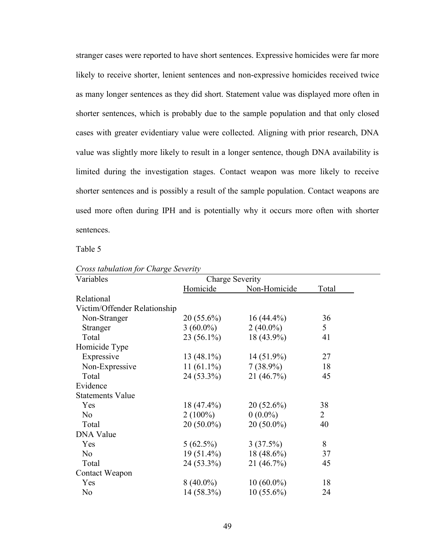stranger cases were reported to have short sentences. Expressive homicides were far more likely to receive shorter, lenient sentences and non-expressive homicides received twice as many longer sentences as they did short. Statement value was displayed more often in shorter sentences, which is probably due to the sample population and that only closed cases with greater evidentiary value were collected. Aligning with prior research, DNA value was slightly more likely to result in a longer sentence, though DNA availability is limited during the investigation stages. Contact weapon was more likely to receive shorter sentences and is possibly a result of the sample population. Contact weapons are used more often during IPH and is potentially why it occurs more often with shorter sentences.

Table 5

| Variables                    | Charge Severity |              |                |
|------------------------------|-----------------|--------------|----------------|
|                              | Homicide        | Non-Homicide | Total          |
| Relational                   |                 |              |                |
| Victim/Offender Relationship |                 |              |                |
| Non-Stranger                 | $20(55.6\%)$    | $16(44.4\%)$ | 36             |
| Stranger                     | $3(60.0\%)$     | $2(40.0\%)$  | 5              |
| Total                        | $23(56.1\%)$    | 18 (43.9%)   | 41             |
| Homicide Type                |                 |              |                |
| Expressive                   | $13(48.1\%)$    | $14(51.9\%)$ | 27             |
| Non-Expressive               | $11(61.1\%)$    | $7(38.9\%)$  | 18             |
| Total                        | $24(53.3\%)$    | 21 (46.7%)   | 45             |
| Evidence                     |                 |              |                |
| <b>Statements Value</b>      |                 |              |                |
| Yes                          | $18(47.4\%)$    | $20(52.6\%)$ | 38             |
| N <sub>o</sub>               | $2(100\%)$      | $0(0.0\%)$   | $\overline{2}$ |
| Total                        | $20(50.0\%)$    | $20(50.0\%)$ | 40             |
| <b>DNA Value</b>             |                 |              |                |
| Yes                          | $5(62.5\%)$     | 3(37.5%)     | 8              |
| N <sub>o</sub>               | $19(51.4\%)$    | $18(48.6\%)$ | 37             |
| Total                        | $24(53.3\%)$    | 21 (46.7%)   | 45             |
| Contact Weapon               |                 |              |                |
| Yes                          | $8(40.0\%)$     | $10(60.0\%)$ | 18             |
| N <sub>0</sub>               | 14 (58.3%)      | $10(55.6\%)$ | 24             |

*Cross tabulation for Charge Severity*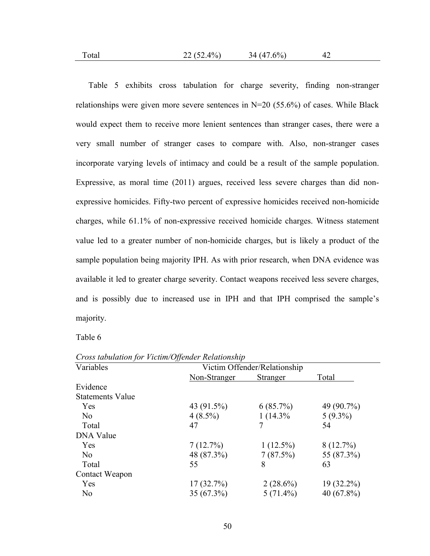Table 5 exhibits cross tabulation for charge severity, finding non-stranger relationships were given more severe sentences in  $N=20$  (55.6%) of cases. While Black would expect them to receive more lenient sentences than stranger cases, there were a very small number of stranger cases to compare with. Also, non-stranger cases incorporate varying levels of intimacy and could be a result of the sample population. Expressive, as moral time (2011) argues, received less severe charges than did nonexpressive homicides. Fifty-two percent of expressive homicides received non-homicide charges, while 61.1% of non-expressive received homicide charges. Witness statement value led to a greater number of non-homicide charges, but is likely a product of the sample population being majority IPH. As with prior research, when DNA evidence was available it led to greater charge severity. Contact weapons received less severe charges,

and is possibly due to increased use in IPH and that IPH comprised the sample's majority.

Table 6

| Variables               | Victim Offender/Relationship |             |               |
|-------------------------|------------------------------|-------------|---------------|
|                         | Non-Stranger                 | Stranger    | Total         |
| Evidence                |                              |             |               |
| <b>Statements Value</b> |                              |             |               |
| Yes                     | 43 (91.5%)                   | 6(85.7%)    | 49 (90.7%)    |
| No                      | $4(8.5\%)$                   | 1(14.3%     | $5(9.3\%)$    |
| Total                   | 47                           |             | 54            |
| <b>DNA Value</b>        |                              |             |               |
| Yes                     | 7(12.7%)                     | $1(12.5\%)$ | $8(12.7\%)$   |
| N <sub>0</sub>          | 48 (87.3%)                   | 7(87.5%)    | 55 (87.3%)    |
| Total                   | 55                           | 8           | 63            |
| Contact Weapon          |                              |             |               |
| Yes                     | 17(32.7%)                    | $2(28.6\%)$ | $19(32.2\%)$  |
| N <sub>0</sub>          | 35(67.3%)                    | $5(71.4\%)$ | 40 $(67.8\%)$ |

*Cross tabulation for Victim/Offender Relationship*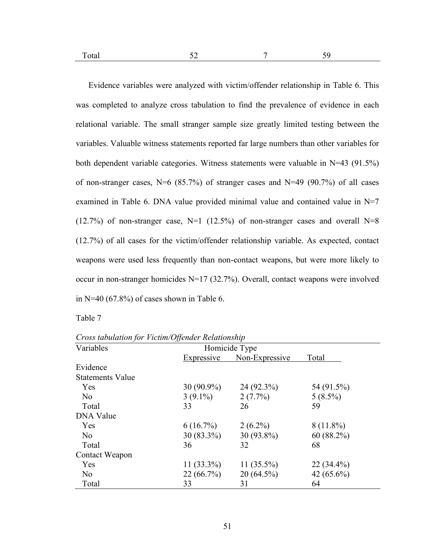| .,<br>1 Otal | . . |  |
|--------------|-----|--|
|              |     |  |

Evidence variables were analyzed with victim/offender relationship in Table 6. This was completed to analyze cross tabulation to find the prevalence of evidence in each relational variable. The small stranger sample size greatly limited testing between the variables. Valuable witness statements reported far large numbers than other variables for both dependent variable categories. Witness statements were valuable in N=43 (91.5%) of non-stranger cases,  $N=6$  (85.7%) of stranger cases and  $N=49$  (90.7%) of all cases examined in Table 6. DNA value provided minimal value and contained value in N=7  $(12.7%)$  of non-stranger case, N=1  $(12.5%)$  of non-stranger cases and overall N=8 (12.7%) of all cases for the victim/offender relationship variable. As expected, contact weapons were used less frequently than non-contact weapons, but were more likely to occur in non-stranger homicides N=17 (32.7%). Overall, contact weapons were involved in N=40  $(67.8\%)$  of cases shown in Table 6.

Table 7

*Cross tabulation for Victim/Offender Relationship* 

| Variables               | Homicide Type |                |              |
|-------------------------|---------------|----------------|--------------|
|                         | Expressive    | Non-Expressive | Total        |
| Evidence                |               |                |              |
| <b>Statements Value</b> |               |                |              |
| Yes                     | $30(90.9\%)$  | $24(92.3\%)$   | 54 (91.5%)   |
| N <sub>0</sub>          | $3(9.1\%)$    | $2(7.7\%)$     | $5(8.5\%)$   |
| Total                   | 33            | 26             | 59           |
| <b>DNA</b> Value        |               |                |              |
| Yes                     | $6(16.7\%)$   | $2(6.2\%)$     | $8(11.8\%)$  |
| N <sub>0</sub>          | $30(83.3\%)$  | $30(93.8\%)$   | 60(88.2%)    |
| Total                   | 36            | 32             | 68           |
| Contact Weapon          |               |                |              |
| Yes                     | 11 $(33.3\%)$ | 11 $(35.5\%)$  | $22(34.4\%)$ |
| N <sub>0</sub>          | $22(66.7\%)$  | $20(64.5\%)$   | $42(65.6\%)$ |
| Total                   | 33            | 31             | 64           |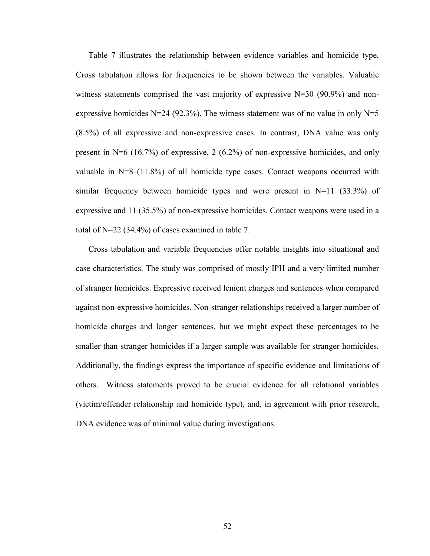Table 7 illustrates the relationship between evidence variables and homicide type. Cross tabulation allows for frequencies to be shown between the variables. Valuable witness statements comprised the vast majority of expressive  $N=30$  (90.9%) and nonexpressive homicides N=24 (92.3%). The witness statement was of no value in only N=5 (8.5%) of all expressive and non-expressive cases. In contrast, DNA value was only present in N=6 (16.7%) of expressive, 2 (6.2%) of non-expressive homicides, and only valuable in N=8 (11.8%) of all homicide type cases. Contact weapons occurred with similar frequency between homicide types and were present in  $N=11$  (33.3%) of expressive and 11 (35.5%) of non-expressive homicides. Contact weapons were used in a total of N=22 (34.4%) of cases examined in table 7.

Cross tabulation and variable frequencies offer notable insights into situational and case characteristics. The study was comprised of mostly IPH and a very limited number of stranger homicides. Expressive received lenient charges and sentences when compared against non-expressive homicides. Non-stranger relationships received a larger number of homicide charges and longer sentences, but we might expect these percentages to be smaller than stranger homicides if a larger sample was available for stranger homicides. Additionally, the findings express the importance of specific evidence and limitations of others. Witness statements proved to be crucial evidence for all relational variables (victim/offender relationship and homicide type), and, in agreement with prior research, DNA evidence was of minimal value during investigations.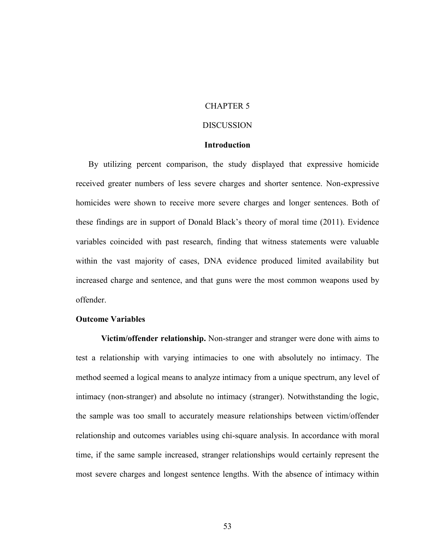# CHAPTER 5

# DISCUSSION

## **Introduction**

By utilizing percent comparison, the study displayed that expressive homicide received greater numbers of less severe charges and shorter sentence. Non-expressive homicides were shown to receive more severe charges and longer sentences. Both of these findings are in support of Donald Black's theory of moral time (2011). Evidence variables coincided with past research, finding that witness statements were valuable within the vast majority of cases, DNA evidence produced limited availability but increased charge and sentence, and that guns were the most common weapons used by offender.

## **Outcome Variables**

**Victim/offender relationship.** Non-stranger and stranger were done with aims to test a relationship with varying intimacies to one with absolutely no intimacy. The method seemed a logical means to analyze intimacy from a unique spectrum, any level of intimacy (non-stranger) and absolute no intimacy (stranger). Notwithstanding the logic, the sample was too small to accurately measure relationships between victim/offender relationship and outcomes variables using chi-square analysis. In accordance with moral time, if the same sample increased, stranger relationships would certainly represent the most severe charges and longest sentence lengths. With the absence of intimacy within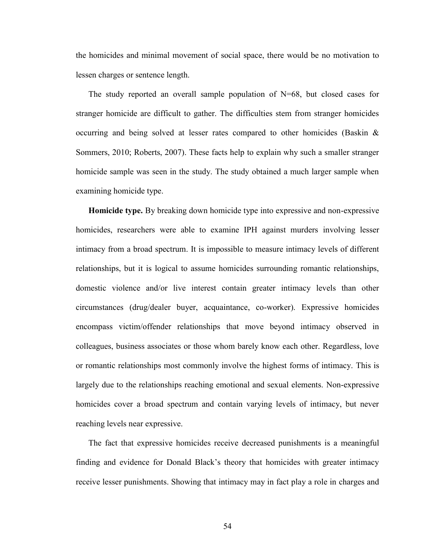the homicides and minimal movement of social space, there would be no motivation to lessen charges or sentence length.

The study reported an overall sample population of  $N=68$ , but closed cases for stranger homicide are difficult to gather. The difficulties stem from stranger homicides occurring and being solved at lesser rates compared to other homicides (Baskin & Sommers, 2010; Roberts, 2007). These facts help to explain why such a smaller stranger homicide sample was seen in the study. The study obtained a much larger sample when examining homicide type.

**Homicide type.** By breaking down homicide type into expressive and non-expressive homicides, researchers were able to examine IPH against murders involving lesser intimacy from a broad spectrum. It is impossible to measure intimacy levels of different relationships, but it is logical to assume homicides surrounding romantic relationships, domestic violence and/or live interest contain greater intimacy levels than other circumstances (drug/dealer buyer, acquaintance, co-worker). Expressive homicides encompass victim/offender relationships that move beyond intimacy observed in colleagues, business associates or those whom barely know each other. Regardless, love or romantic relationships most commonly involve the highest forms of intimacy. This is largely due to the relationships reaching emotional and sexual elements. Non-expressive homicides cover a broad spectrum and contain varying levels of intimacy, but never reaching levels near expressive.

The fact that expressive homicides receive decreased punishments is a meaningful finding and evidence for Donald Black's theory that homicides with greater intimacy receive lesser punishments. Showing that intimacy may in fact play a role in charges and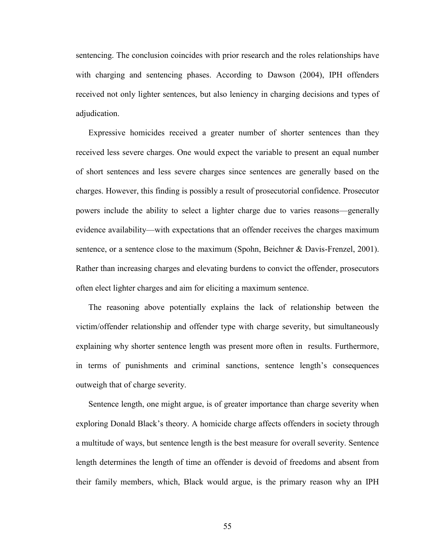sentencing. The conclusion coincides with prior research and the roles relationships have with charging and sentencing phases. According to Dawson (2004), IPH offenders received not only lighter sentences, but also leniency in charging decisions and types of adjudication.

Expressive homicides received a greater number of shorter sentences than they received less severe charges. One would expect the variable to present an equal number of short sentences and less severe charges since sentences are generally based on the charges. However, this finding is possibly a result of prosecutorial confidence. Prosecutor powers include the ability to select a lighter charge due to varies reasons—generally evidence availability—with expectations that an offender receives the charges maximum sentence, or a sentence close to the maximum (Spohn, Beichner & Davis-Frenzel, 2001). Rather than increasing charges and elevating burdens to convict the offender, prosecutors often elect lighter charges and aim for eliciting a maximum sentence.

The reasoning above potentially explains the lack of relationship between the victim/offender relationship and offender type with charge severity, but simultaneously explaining why shorter sentence length was present more often in results. Furthermore, in terms of punishments and criminal sanctions, sentence length's consequences outweigh that of charge severity.

Sentence length, one might argue, is of greater importance than charge severity when exploring Donald Black's theory. A homicide charge affects offenders in society through a multitude of ways, but sentence length is the best measure for overall severity. Sentence length determines the length of time an offender is devoid of freedoms and absent from their family members, which, Black would argue, is the primary reason why an IPH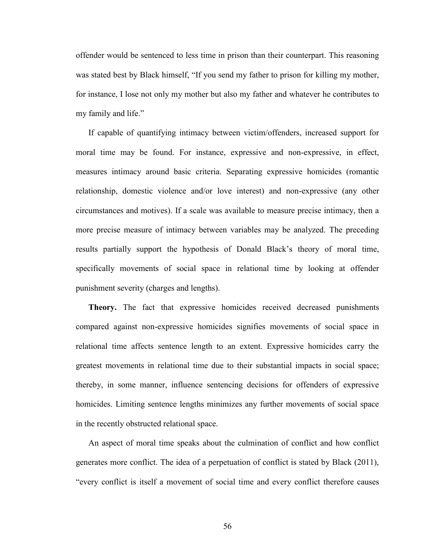offender would be sentenced to less time in prison than their counterpart. This reasoning was stated best by Black himself, "If you send my father to prison for killing my mother, for instance, I lose not only my mother but also my father and whatever he contributes to my family and life."

If capable of quantifying intimacy between victim/offenders, increased support for moral time may be found. For instance, expressive and non-expressive, in effect, measures intimacy around basic criteria. Separating expressive homicides (romantic relationship, domestic violence and/or love interest) and non-expressive (any other circumstances and motives). If a scale was available to measure precise intimacy, then a more precise measure of intimacy between variables may be analyzed. The preceding results partially support the hypothesis of Donald Black's theory of moral time, specifically movements of social space in relational time by looking at offender punishment severity (charges and lengths).

**Theory.** The fact that expressive homicides received decreased punishments compared against non-expressive homicides signifies movements of social space in relational time affects sentence length to an extent. Expressive homicides carry the greatest movements in relational time due to their substantial impacts in social space; thereby, in some manner, influence sentencing decisions for offenders of expressive homicides. Limiting sentence lengths minimizes any further movements of social space in the recently obstructed relational space.

An aspect of moral time speaks about the culmination of conflict and how conflict generates more conflict. The idea of a perpetuation of conflict is stated by Black (2011), "every conflict is itself a movement of social time and every conflict therefore causes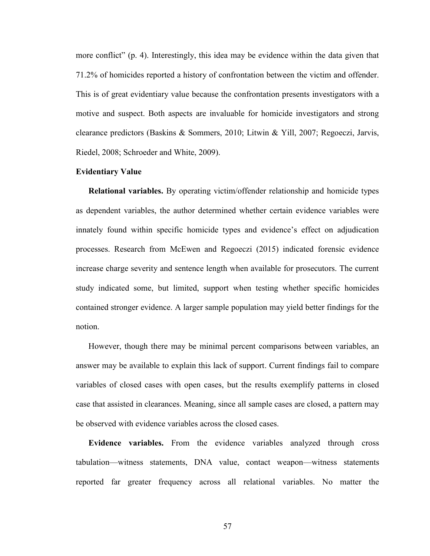more conflict" (p. 4). Interestingly, this idea may be evidence within the data given that 71.2% of homicides reported a history of confrontation between the victim and offender. This is of great evidentiary value because the confrontation presents investigators with a motive and suspect. Both aspects are invaluable for homicide investigators and strong clearance predictors (Baskins & Sommers, 2010; Litwin & Yill, 2007; Regoeczi, Jarvis, Riedel, 2008; Schroeder and White, 2009).

## **Evidentiary Value**

**Relational variables.** By operating victim/offender relationship and homicide types as dependent variables, the author determined whether certain evidence variables were innately found within specific homicide types and evidence's effect on adjudication processes. Research from McEwen and Regoeczi (2015) indicated forensic evidence increase charge severity and sentence length when available for prosecutors. The current study indicated some, but limited, support when testing whether specific homicides contained stronger evidence. A larger sample population may yield better findings for the notion.

However, though there may be minimal percent comparisons between variables, an answer may be available to explain this lack of support. Current findings fail to compare variables of closed cases with open cases, but the results exemplify patterns in closed case that assisted in clearances. Meaning, since all sample cases are closed, a pattern may be observed with evidence variables across the closed cases.

**Evidence variables.** From the evidence variables analyzed through cross tabulation—witness statements, DNA value, contact weapon—witness statements reported far greater frequency across all relational variables. No matter the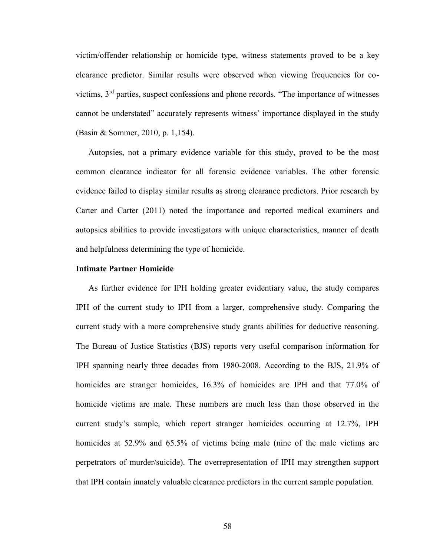victim/offender relationship or homicide type, witness statements proved to be a key clearance predictor. Similar results were observed when viewing frequencies for covictims, 3rd parties, suspect confessions and phone records. "The importance of witnesses cannot be understated" accurately represents witness' importance displayed in the study (Basin & Sommer, 2010, p. 1,154).

Autopsies, not a primary evidence variable for this study, proved to be the most common clearance indicator for all forensic evidence variables. The other forensic evidence failed to display similar results as strong clearance predictors. Prior research by Carter and Carter (2011) noted the importance and reported medical examiners and autopsies abilities to provide investigators with unique characteristics, manner of death and helpfulness determining the type of homicide.

## **Intimate Partner Homicide**

As further evidence for IPH holding greater evidentiary value, the study compares IPH of the current study to IPH from a larger, comprehensive study. Comparing the current study with a more comprehensive study grants abilities for deductive reasoning. The Bureau of Justice Statistics (BJS) reports very useful comparison information for IPH spanning nearly three decades from 1980-2008. According to the BJS, 21.9% of homicides are stranger homicides, 16.3% of homicides are IPH and that 77.0% of homicide victims are male. These numbers are much less than those observed in the current study's sample, which report stranger homicides occurring at 12.7%, IPH homicides at 52.9% and 65.5% of victims being male (nine of the male victims are perpetrators of murder/suicide). The overrepresentation of IPH may strengthen support that IPH contain innately valuable clearance predictors in the current sample population.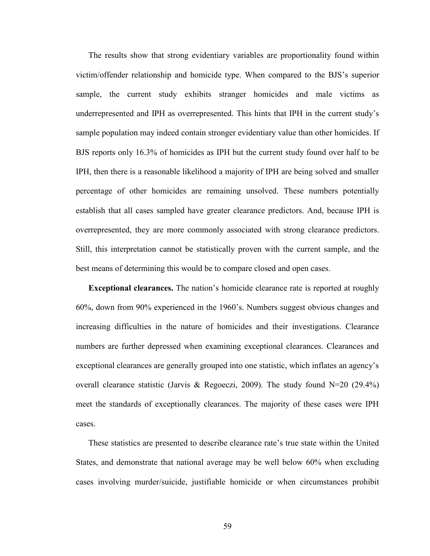The results show that strong evidentiary variables are proportionality found within victim/offender relationship and homicide type. When compared to the BJS's superior sample, the current study exhibits stranger homicides and male victims as underrepresented and IPH as overrepresented. This hints that IPH in the current study's sample population may indeed contain stronger evidentiary value than other homicides. If BJS reports only 16.3% of homicides as IPH but the current study found over half to be IPH, then there is a reasonable likelihood a majority of IPH are being solved and smaller percentage of other homicides are remaining unsolved. These numbers potentially establish that all cases sampled have greater clearance predictors. And, because IPH is overrepresented, they are more commonly associated with strong clearance predictors. Still, this interpretation cannot be statistically proven with the current sample, and the best means of determining this would be to compare closed and open cases.

**Exceptional clearances.** The nation's homicide clearance rate is reported at roughly 60%, down from 90% experienced in the 1960's. Numbers suggest obvious changes and increasing difficulties in the nature of homicides and their investigations. Clearance numbers are further depressed when examining exceptional clearances. Clearances and exceptional clearances are generally grouped into one statistic, which inflates an agency's overall clearance statistic (Jarvis & Regoeczi, 2009). The study found N=20 (29.4%) meet the standards of exceptionally clearances. The majority of these cases were IPH cases.

These statistics are presented to describe clearance rate's true state within the United States, and demonstrate that national average may be well below 60% when excluding cases involving murder/suicide, justifiable homicide or when circumstances prohibit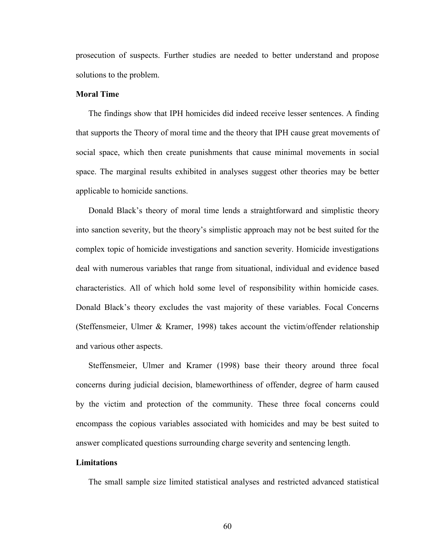prosecution of suspects. Further studies are needed to better understand and propose solutions to the problem.

# **Moral Time**

The findings show that IPH homicides did indeed receive lesser sentences. A finding that supports the Theory of moral time and the theory that IPH cause great movements of social space, which then create punishments that cause minimal movements in social space. The marginal results exhibited in analyses suggest other theories may be better applicable to homicide sanctions.

Donald Black's theory of moral time lends a straightforward and simplistic theory into sanction severity, but the theory's simplistic approach may not be best suited for the complex topic of homicide investigations and sanction severity. Homicide investigations deal with numerous variables that range from situational, individual and evidence based characteristics. All of which hold some level of responsibility within homicide cases. Donald Black's theory excludes the vast majority of these variables. Focal Concerns (Steffensmeier, Ulmer & Kramer, 1998) takes account the victim/offender relationship and various other aspects.

Steffensmeier, Ulmer and Kramer (1998) base their theory around three focal concerns during judicial decision, blameworthiness of offender, degree of harm caused by the victim and protection of the community. These three focal concerns could encompass the copious variables associated with homicides and may be best suited to answer complicated questions surrounding charge severity and sentencing length.

# **Limitations**

The small sample size limited statistical analyses and restricted advanced statistical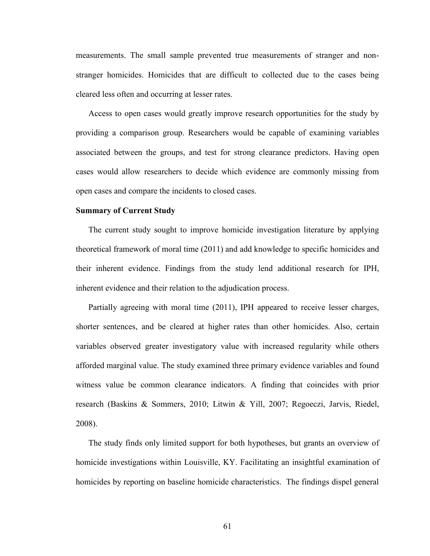measurements. The small sample prevented true measurements of stranger and nonstranger homicides. Homicides that are difficult to collected due to the cases being cleared less often and occurring at lesser rates.

Access to open cases would greatly improve research opportunities for the study by providing a comparison group. Researchers would be capable of examining variables associated between the groups, and test for strong clearance predictors. Having open cases would allow researchers to decide which evidence are commonly missing from open cases and compare the incidents to closed cases.

# **Summary of Current Study**

The current study sought to improve homicide investigation literature by applying theoretical framework of moral time (2011) and add knowledge to specific homicides and their inherent evidence. Findings from the study lend additional research for IPH, inherent evidence and their relation to the adjudication process.

Partially agreeing with moral time (2011), IPH appeared to receive lesser charges, shorter sentences, and be cleared at higher rates than other homicides. Also, certain variables observed greater investigatory value with increased regularity while others afforded marginal value. The study examined three primary evidence variables and found witness value be common clearance indicators. A finding that coincides with prior research (Baskins & Sommers, 2010; Litwin & Yill, 2007; Regoeczi, Jarvis, Riedel, 2008).

The study finds only limited support for both hypotheses, but grants an overview of homicide investigations within Louisville, KY. Facilitating an insightful examination of homicides by reporting on baseline homicide characteristics. The findings dispel general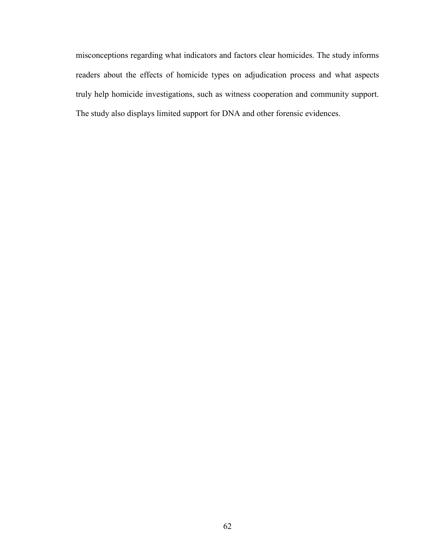misconceptions regarding what indicators and factors clear homicides. The study informs readers about the effects of homicide types on adjudication process and what aspects truly help homicide investigations, such as witness cooperation and community support. The study also displays limited support for DNA and other forensic evidences.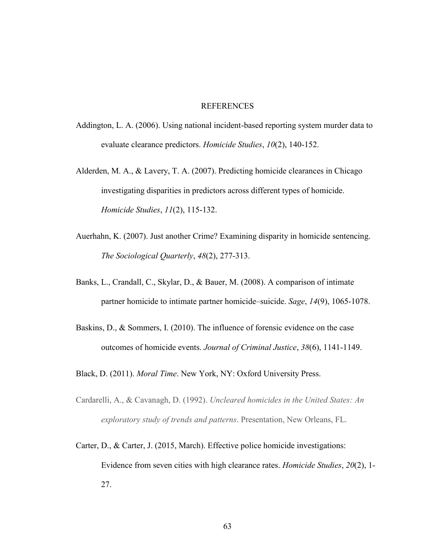#### REFERENCES

- Addington, L. A. (2006). Using national incident-based reporting system murder data to evaluate clearance predictors. *Homicide Studies*, *10*(2), 140-152.
- Alderden, M. A., & Lavery, T. A. (2007). Predicting homicide clearances in Chicago investigating disparities in predictors across different types of homicide. *Homicide Studies*, *11*(2), 115-132.
- Auerhahn, K. (2007). Just another Crime? Examining disparity in homicide sentencing. *The Sociological Quarterly*, *48*(2), 277-313.
- Banks, L., Crandall, C., Skylar, D., & Bauer, M. (2008). A comparison of intimate partner homicide to intimate partner homicide–suicide. *Sage*, *14*(9), 1065-1078.
- Baskins, D., & Sommers, I. (2010). The influence of forensic evidence on the case outcomes of homicide events. *Journal of Criminal Justice*, *38*(6), 1141-1149.
- Black, D. (2011). *Moral Time*. New York, NY: Oxford University Press.
- Cardarelli, A., & Cavanagh, D. (1992). *Uncleared homicides in the United States: An exploratory study of trends and patterns*. Presentation, New Orleans, FL.
- Carter, D., & Carter, J. (2015, March). Effective police homicide investigations: Evidence from seven cities with high clearance rates. *Homicide Studies*, *20*(2), 1- 27.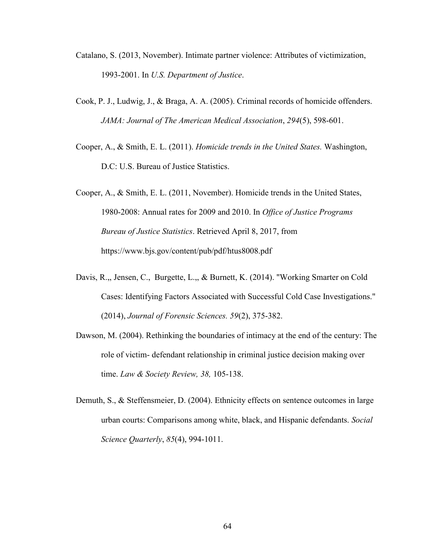- Catalano, S. (2013, November). Intimate partner violence: Attributes of victimization, 1993-2001. In *U.S. Department of Justice*.
- Cook, P. J., Ludwig, J., & Braga, A. A. (2005). Criminal records of homicide offenders. *JAMA: Journal of The American Medical Association*, *294*(5), 598-601.
- Cooper, A., & Smith, E. L. (2011). *Homicide trends in the United States.* Washington, D.C: U.S. Bureau of Justice Statistics.

Cooper, A., & Smith, E. L. (2011, November). Homicide trends in the United States, 1980-2008: Annual rates for 2009 and 2010. In *Office of Justice Programs Bureau of Justice Statistics*. Retrieved April 8, 2017, from https://www.bjs.gov/content/pub/pdf/htus8008.pdf

- Davis, R.,, Jensen, C., Burgette, L.,, & Burnett, K. (2014). "Working Smarter on Cold Cases: Identifying Factors Associated with Successful Cold Case Investigations." (2014), *Journal of Forensic Sciences. 59*(2), 375-382.
- Dawson, M. (2004). Rethinking the boundaries of intimacy at the end of the century: The role of victim- defendant relationship in criminal justice decision making over time. *Law & Society Review, 38,* 105-138.
- Demuth, S., & Steffensmeier, D. (2004). Ethnicity effects on sentence outcomes in large urban courts: Comparisons among white, black, and Hispanic defendants. *Social Science Quarterly*, *85*(4), 994-1011.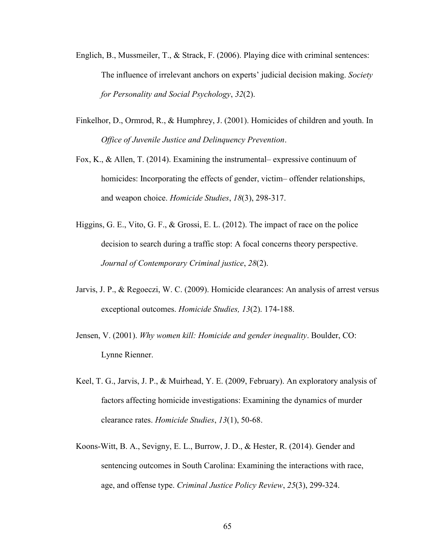- Englich, B., Mussmeiler, T., & Strack, F. (2006). Playing dice with criminal sentences: The influence of irrelevant anchors on experts' judicial decision making. *Society for Personality and Social Psychology*, *32*(2).
- Finkelhor, D., Ormrod, R., & Humphrey, J. (2001). Homicides of children and youth. In *Office of Juvenile Justice and Delinquency Prevention*.
- Fox, K., & Allen, T. (2014). Examining the instrumental– expressive continuum of homicides: Incorporating the effects of gender, victim– offender relationships, and weapon choice. *Homicide Studies*, *18*(3), 298-317.
- Higgins, G. E., Vito, G. F., & Grossi, E. L. (2012). The impact of race on the police decision to search during a traffic stop: A focal concerns theory perspective. *Journal of Contemporary Criminal justice*, *28*(2).
- Jarvis, J. P., & Regoeczi, W. C. (2009). Homicide clearances: An analysis of arrest versus exceptional outcomes. *Homicide Studies, 13*(2). 174-188.
- Jensen, V. (2001). *Why women kill: Homicide and gender inequality*. Boulder, CO: Lynne Rienner.
- Keel, T. G., Jarvis, J. P., & Muirhead, Y. E. (2009, February). An exploratory analysis of factors affecting homicide investigations: Examining the dynamics of murder clearance rates. *Homicide Studies*, *13*(1), 50-68.
- Koons-Witt, B. A., Sevigny, E. L., Burrow, J. D., & Hester, R. (2014). Gender and sentencing outcomes in South Carolina: Examining the interactions with race, age, and offense type. *Criminal Justice Policy Review*, *25*(3), 299-324.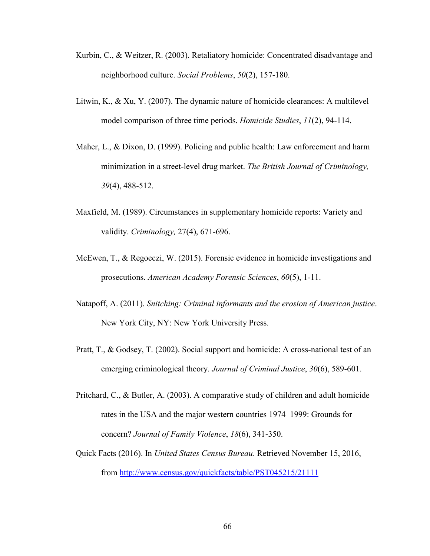- Kurbin, C., & Weitzer, R. (2003). Retaliatory homicide: Concentrated disadvantage and neighborhood culture. *Social Problems*, *50*(2), 157-180.
- Litwin, K., & Xu, Y. (2007). The dynamic nature of homicide clearances: A multilevel model comparison of three time periods. *Homicide Studies*, *11*(2), 94-114.
- Maher, L., & Dixon, D. (1999). Policing and public health: Law enforcement and harm minimization in a street-level drug market. *The British Journal of Criminology, 39*(4), 488-512.
- Maxfield, M. (1989). Circumstances in supplementary homicide reports: Variety and validity. *Criminology,* 27(4), 671-696.
- McEwen, T., & Regoeczi, W. (2015). Forensic evidence in homicide investigations and prosecutions. *American Academy Forensic Sciences*, *60*(5), 1-11.
- Natapoff, A. (2011). *Snitching: Criminal informants and the erosion of American justice*. New York City, NY: New York University Press.
- Pratt, T., & Godsey, T. (2002). Social support and homicide: A cross-national test of an emerging criminological theory. *Journal of Criminal Justice*, *30*(6), 589-601.
- Pritchard, C., & Butler, A. (2003). A comparative study of children and adult homicide rates in the USA and the major western countries 1974–1999: Grounds for concern? *Journal of Family Violence*, *18*(6), 341-350.
- Quick Facts (2016). In *United States Census Bureau*. Retrieved November 15, 2016, from<http://www.census.gov/quickfacts/table/PST045215/21111>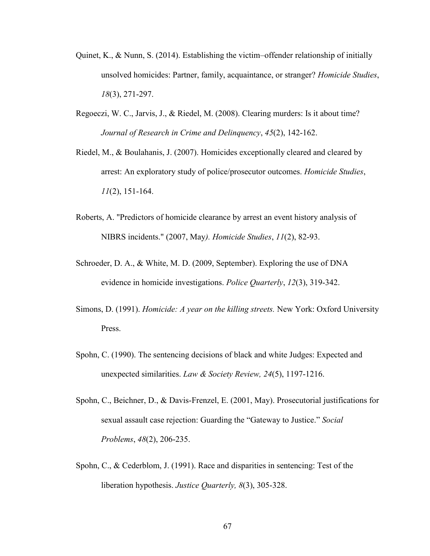- Quinet, K., & Nunn, S. (2014). Establishing the victim–offender relationship of initially unsolved homicides: Partner, family, acquaintance, or stranger? *Homicide Studies*, *18*(3), 271-297.
- Regoeczi, W. C., Jarvis, J., & Riedel, M. (2008). Clearing murders: Is it about time? *Journal of Research in Crime and Delinquency*, *45*(2), 142-162.
- Riedel, M., & Boulahanis, J. (2007). Homicides exceptionally cleared and cleared by arrest: An exploratory study of police/prosecutor outcomes. *Homicide Studies*, *11*(2), 151-164.
- Roberts, A. "Predictors of homicide clearance by arrest an event history analysis of NIBRS incidents." (2007, May*). Homicide Studies*, *11*(2), 82-93.
- Schroeder, D. A., & White, M. D. (2009, September). Exploring the use of DNA evidence in homicide investigations. *Police Quarterly*, *12*(3), 319-342.
- Simons, D. (1991). *Homicide: A year on the killing streets.* New York: Oxford University Press.
- Spohn, C. (1990). The sentencing decisions of black and white Judges: Expected and unexpected similarities. *Law & Society Review, 24*(5), 1197-1216.
- Spohn, C., Beichner, D., & Davis-Frenzel, E. (2001, May). Prosecutorial justifications for sexual assault case rejection: Guarding the "Gateway to Justice." *Social Problems*, *48*(2), 206-235.
- Spohn, C., & Cederblom, J. (1991). Race and disparities in sentencing: Test of the liberation hypothesis. *Justice Quarterly, 8*(3), 305-328.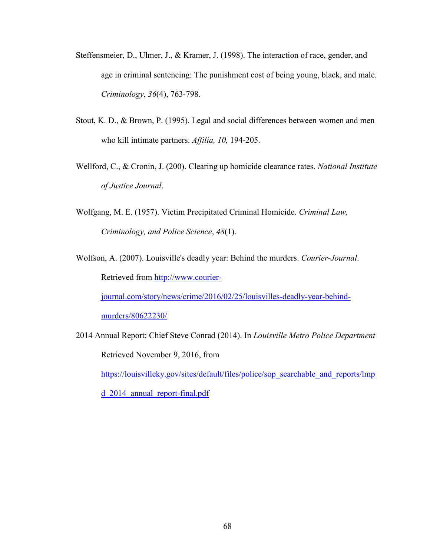- Steffensmeier, D., Ulmer, J., & Kramer, J. (1998). The interaction of race, gender, and age in criminal sentencing: The punishment cost of being young, black, and male. *Criminology*, *36*(4), 763-798.
- Stout, K. D., & Brown, P. (1995). Legal and social differences between women and men who kill intimate partners. *Affilia, 10,* 194-205.
- Wellford, C., & Cronin, J. (200). Clearing up homicide clearance rates. *National Institute of Justice Journal*.
- Wolfgang, M. E. (1957). Victim Precipitated Criminal Homicide. *Criminal Law, Criminology, and Police Science*, *48*(1).
- Wolfson, A. (2007). Louisville's deadly year: Behind the murders. *Courier-Journal*. Retrieved from [http://www.courier-](http://www.courier-journal.com/story/news/crime/2016/02/25/louisvilles-deadly-year-behind-murders/80622230/)

[journal.com/story/news/crime/2016/02/25/louisvilles-deadly-year-behind-](http://www.courier-journal.com/story/news/crime/2016/02/25/louisvilles-deadly-year-behind-murders/80622230/)

[murders/80622230/](http://www.courier-journal.com/story/news/crime/2016/02/25/louisvilles-deadly-year-behind-murders/80622230/)

2014 Annual Report: Chief Steve Conrad (2014). In *Louisville Metro Police Department* Retrieved November 9, 2016, from

[https://louisvilleky.gov/sites/default/files/police/sop\\_searchable\\_and\\_reports/lmp](https://louisvilleky.gov/sites/default/files/police/sop_searchable_and_reports/lmpd_2014_annual_report-final.pdf)

[d\\_2014\\_annual\\_report-final.pdf](https://louisvilleky.gov/sites/default/files/police/sop_searchable_and_reports/lmpd_2014_annual_report-final.pdf)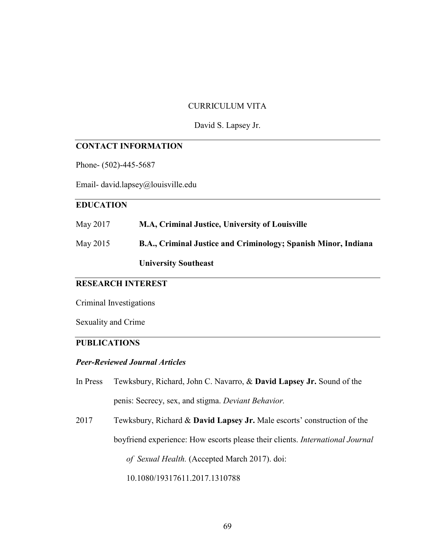### CURRICULUM VITA

#### David S. Lapsey Jr.

#### **CONTACT INFORMATION**

Phone- (502)-445-5687

Email- david.lapsey@louisville.edu

## **EDUCATION**

| May 2017 | M.A, Criminal Justice, University of Louisville                       |
|----------|-----------------------------------------------------------------------|
| May 2015 | <b>B.A., Criminal Justice and Criminology; Spanish Minor, Indiana</b> |
|          | <b>University Southeast</b>                                           |

# **RESEARCH INTEREST**

Criminal Investigations

Sexuality and Crime

## **PUBLICATIONS**

#### *Peer-Reviewed Journal Articles*

In Press Tewksbury, Richard, John C. Navarro, & **David Lapsey Jr.** Sound of the penis: Secrecy, sex, and stigma. *Deviant Behavior.*

2017 Tewksbury, Richard & **David Lapsey Jr.** Male escorts' construction of the boyfriend experience: How escorts please their clients. *International Journal of Sexual Health.* (Accepted March 2017). doi: 10.1080/19317611.2017.1310788